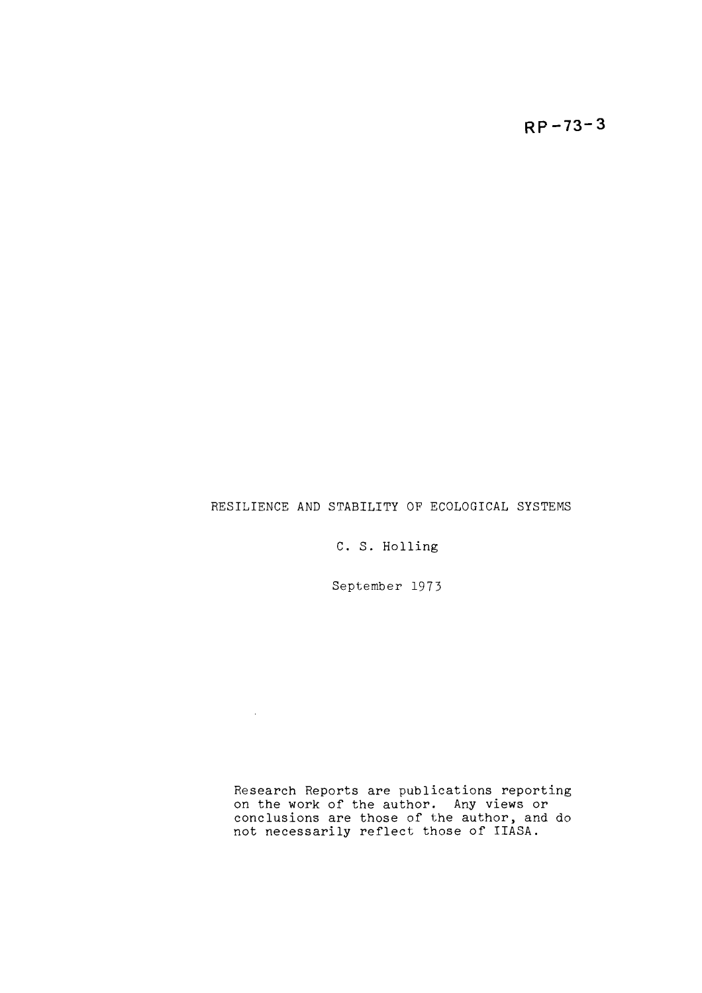$RP - 73 - 3$ 

# RESILIENCE AND STABILITY OF ECOLOGICAL SYSTEMS

C. S. Holling

September 1973

 $\mathcal{L}^{\text{max}}_{\text{max}}$ 

Research Reports are publications reporting on the work of the author. Any views or conclusions are those of the author, and do not necessarily reflect those of IIASA.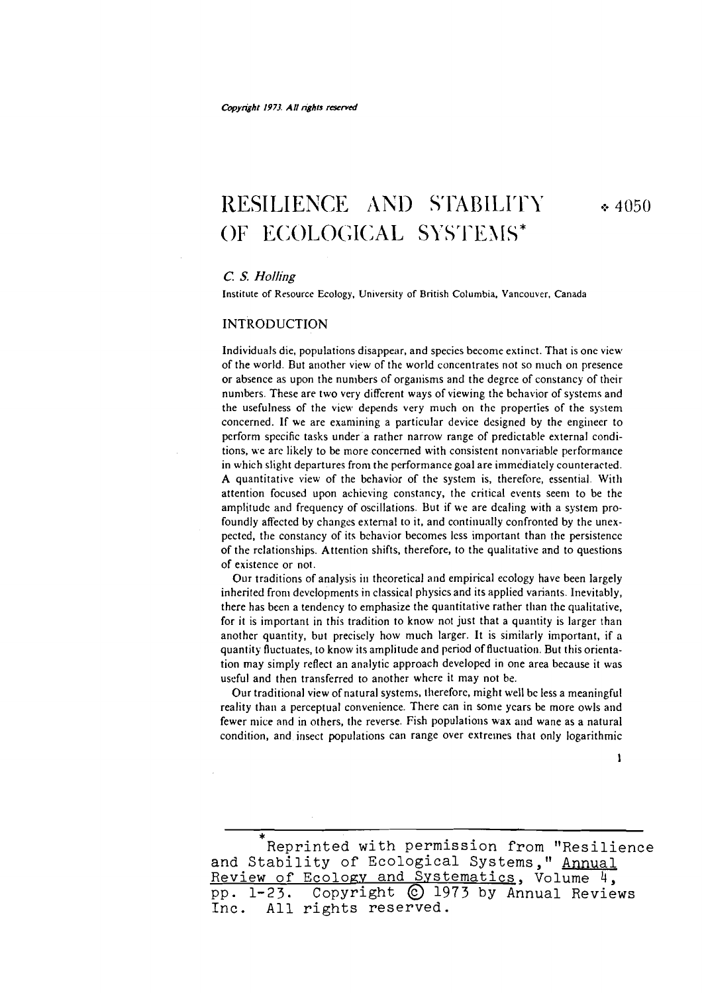# RESILIENCE AND STABILITY  $\div$  4050 OF ECOLOGICAL SYSTEMS\*

### *C* S. *Holling*

Institute of Resource Ecology. University of British Columbia. Vancouver. Canada

#### INTRODUCTION

Individuals die, populations disappear, and species become extinct. That is one view of the world. But another view of the world concentrates not so niuch on presence or absence as upon the nunibers of organisms and the degree of constancy of their numbers. These are two very different ways of viewing the behavior of systems and the usefulness of the view depends very much on the properties of the system concerned. If we are examining a particular device designed by the engineer to perform specific tasks under a rather narrow range of predictable external conditions, we are likely to be more concerned with consistent nonvariable performance in which slight departures from the performance goal are immediately counteracted. A quantitative view of the behavior of the system is, therefore, essential. With attention focused upon achieving constancy, the critical events seem to be the amplitude and frequency of oscillations. But if we are dealing with a system profoundly affected by changes external to it, and continually confronted by the unexpected, the constancy of its behavior becomes less important than the persistence of the relationships. Attention shifts, therefore, to the qualitative and to questions of existence or not.

Our traditions of analysis in theoretical and empirical ecology have been largely inherited froni developments in classical physics and its applied variants. Inevitably, there has been a tendency to emphasize the quantitative rather than the qualitative, for it is important in this tradition to know not just that a quantity is larger than another quantity, but precisely how much larger. It is similarly important, if a quantity fluctuates, to know its amplitude and period of fluctuation. But this orientation may simply reflect an analytic approach developed in one area because it was useful and then transferred to another where it may not be.

Our traditional view of natural systems, therefore, might well be less a meaningful reality than a perceptual convenience. There can in some years be more owls and fewer mice and in others, the reverse. Fish populations wax and wane as a natural condition, and insect populations can range over extremes that only logarithmic

\* Reprinted with permission from "Resilience and Stability of Ecological Systems," Annual Review of Ecology and Systematics, Volume 4,<br>pp. 1-23. Copyright © 1973 by Annual Revie Copyright  $\odot$  1973 by Annual Reviews Inc. All rights reserved.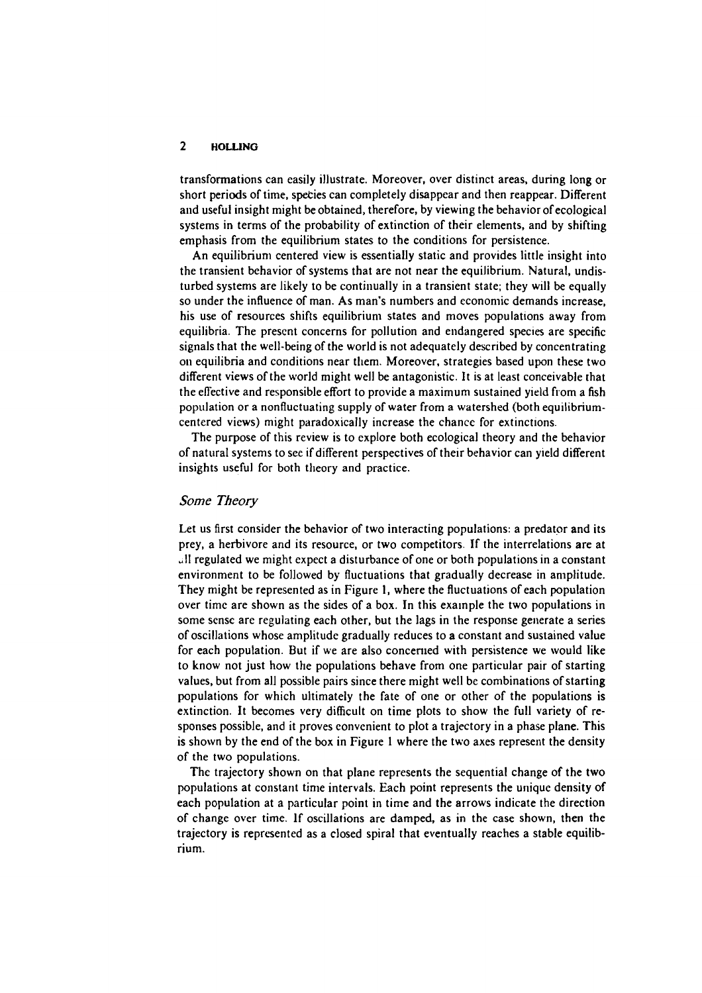# **2 HOUING**

transformations can easily illustrate. Moreover, over distinct areas, during long or short periods of time, speties can completely disappear and then reappear. Different and useful insight might be obtained, therefore, by viewing the behavior ofecological systems in terms of the probability of extinction of their elements, and by shifting emphasis from the equilibrium states to the conditions for persistence.

An equilibrium centered view is essentially static and provides little insight into the transient behavior of systems that are not near the equilibrium. Natural, undisturbed systems are likely to be continually in a transient state; they will be equally so under the influence of man. As man's numbers and economic demands increase, his use of resources shifts equilibrium states and moves populations away from equilibria. The prescnt concerns for pollution and endangered species are specific signals that the well-being of the world is not adequately described by concentrating on equilibria and conditions near them. Moreover, strategies based upon these two different views of the world might well be antagonistic. It is at least conceivable chat the effective and responsible effort to provide a maximum sustained yield from a fish population or a nonfluctuating supply of water from a watershed (both equilibriumcentered views) might paradoxically increase the chance for extinctions.

The purpose of this review is to explore both ecological theory and the behavior of natural systems to see if different perspectives of their behavior can yield different insights useful for both theory and practice.

### *Some Theory*

Let us first consider the behavior of two interacting populations: a predator and its prey, a herbivore and its resource, or two competitors. If the interrelations are at "11 regulated we might expect a disturbance of one or both populations in a constant environment to be followed by fluctuations that gradually decrease in amplitude. They might be represented as in Figure 1, where the fluctuations of each population over time are shown as the sides of a box. In this example the two populations in some sense are regulating each other, but the lags in the response generate a series of oscillations whose amplitude gradually reduces to a constant and sustained value for each population. But if we are also concerned with persistence we would like to know not just how the populations behave from one particular pair of starting values, but from all possible pairs since there might well be combinations of starting populations for which ultimately the fate of one or other of the populations is extinction. It becomes very difficult on time plots to show the full variety of responses possible, and it proves convenient to plot a trajectory in a phase plane. This is shown by the end of the box in Figure 1 where the two axes represent the density of the two populations.

The trajectory shown on that plane represents the sequential change of the two populations at constant time intervals. Each point represents the unique density of each population at a particular point in time and the arrows indicate the direction of change over time. If oscillations are damped, as in the case shown, then the trajectory is represented as a closed spiral that eventually reaches a stable equilibrium.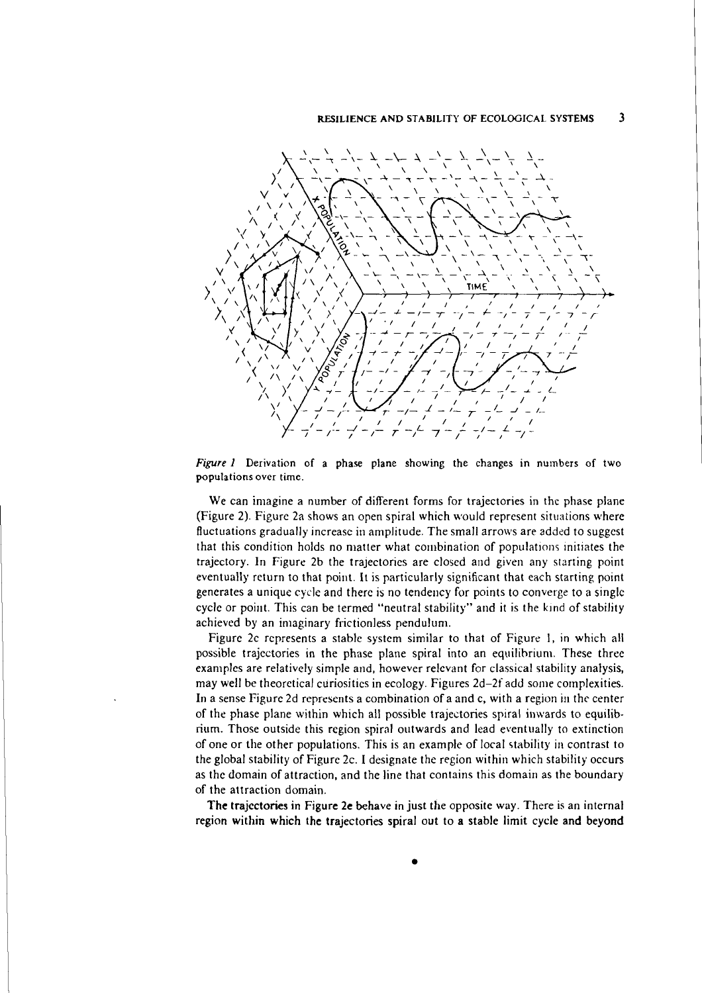### **RESILIENCE AND STABILITY OF ECOLOGICAL SYSTEMS 3**



Figure I Derivation of a phase plane showing the changes in numbers of two populations over time.

We can imagine a number of different forms for trajectories in the phase plane (Figure 2). Figure 2a shows an open spiral which would represent situations where fluctuations gradually increase in amplitude. The small arrows are added to suggest that this condition holds no matter what combination of populations initiates the trajectory. **In** Figure 2b the trajectories are closed and given any starting point eventually return to that point. It is particularly significant that each starting point generates a unique cycle and there is no tendency for points to converge to a single cycle or point. This can be termed "neutral stability" and it is the kind of stability achieved by an imaginary frictionless pendulum.

Figure 2c represents a stable system similar to that of Figure I, in which all possible trajectories in the phase plane spiral into an equilibrium. These three examples are relatively simple and, however relcvant for classical stability analysis, may well be theoretical curiosities in ecology. Figures 2d-2f add some complexities. In a sense Figure 2d represents a combination of a and  $c$ , with a region in the center of the phase plane within which all possible trajectories spiral inwards to equilibrium. Those outside this rcgion spiral outwards and lead eventually to extinction of one or the other populations. This is an example of local stability in contrast to the global stability of Figure 2c. I designate the region within which stability occurs as the domain of attraction, and the line that contains this domain as the boundary of the attraction domain.

The trajectories in Figure 2e behave in just the opposite way. There is an internal region within which the trajectories spiral out to a stable limit cycle and beyond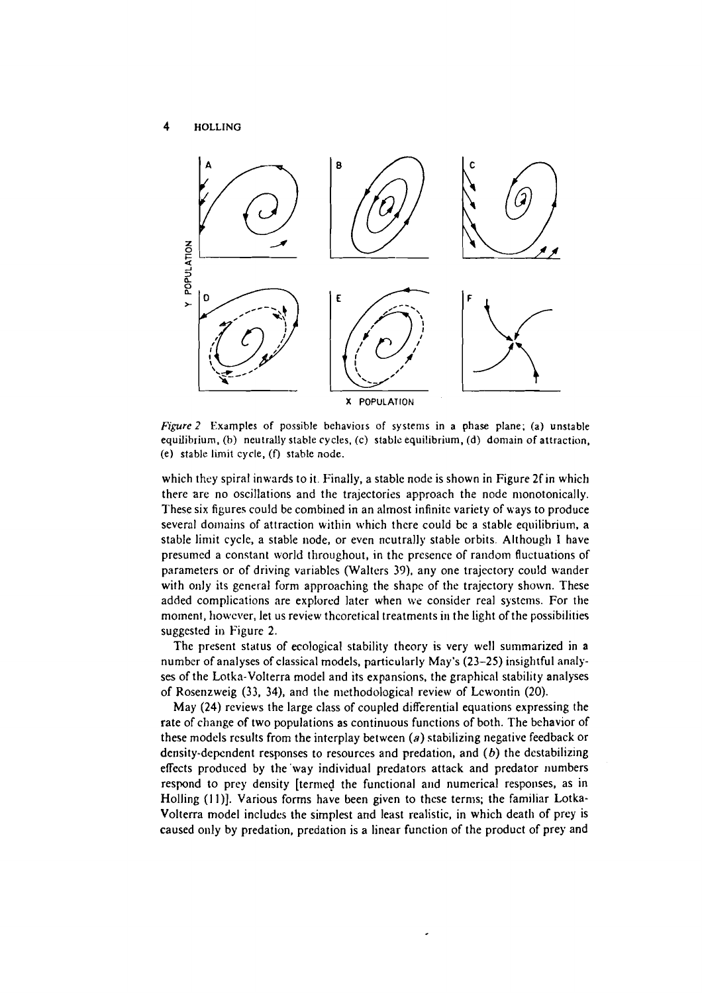

*Figure* 2 Examples of possible behaviors of systems in a phase plane; (a) unstable equilibrium, (b) neutrally stable cycles. (c) stable equilibrium, **(d)** domain of attraction, (e) stable limit cycle, (f) stable node.

which they spiral inwards to it. Finally, a stable node is shown in Figure 2f in which there are no oscillations and the trajectoriss approach the node nionotonically. These six figures could be combined in an almost infinitc variety of ways to produce several domains of attraction within which there could be a stable equilibrium, a stable liniit cycle, a stable node, or even neutrally stable orbits. Although **1** have presumed a constant world throughout, in the presence of random fluctuations of parameters or of driving variables (Walters 39), any one trajectory could wander with only its general form approaching the shape of the trajectory shown. These added complications are explored later when we consider real systems. For the moment, however, let us review theoretical treatments in the light of the possibilities suggested in Figure 2.

The present status of ecological stability theory is very well summarized in a number of analyses of classical models, particularly May's (23-25) insightful analyses of the Lotka-Volterra model and its expansions, the graphical stability analyses of Rosenzweig (33, 34), and the methodological review of Lcwontin (20).

May (24) reviews the large class of coupled differential equations expressing the rate of change of two populations as continuous functions of both. The behavior of these models rcsults from the interplay between **(a)** stabilizing negative feedback or density-depcndent responses to resources and predation, and **(b)** the destabilizing effects produced by the way individual predators attack and predator numbers respond to prey density [termed the functional and numerical responses, as in Holling (11)]. Various forms have been given to these terms; the familiar Lotka-Volterra model includes the simplest and least realistic, in which death of prey is caused only by predation, predation is a linear function of the product of prey and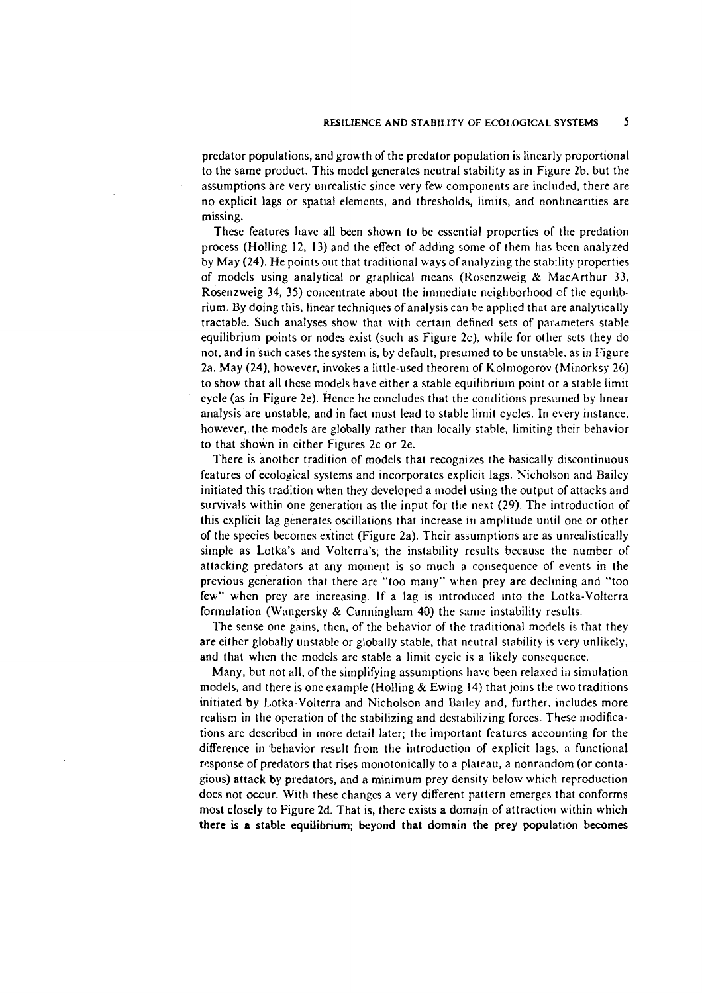predator populations, and growth of the predator population is linearly proportional to the same product. This model generates neutral stability as in Figure **2b.** but the assumptions are very unrealistic since very few components are included, there are no explicit lags or spatial elements, and thresholds, limits, and nonlinearities are missing.

These features have all been shown to be essential properties of the predation process (Holling 12. 13) and the effect of adding some of them has bccn analyzed by May (24). He points out that traditional ways of analyzing the stability properties of models using analytical or graphical means (Rosenzweig & MacArthur 33. Rosenzweig 34, 35) concentrate about the immediate neighborhood of the equilibrium. By doing this, linear techniques of analysis can be applied that are analytically tractable. Such analyses show that with certain defined sets of parameters stable equilibrium points or nodes exist (such as Figure 2c), while for other sets they do not, and in such cases the system is, by default, presumed to be unstable, as in Figure 2a. May (24), however, invokes a little-used theorem of Kolmogorov (Minorksy 26) to show that all these models have either a stable equilibrium point or a stable limit cycle (as in Figure 2e). Hence he concludes that the conditions presumed by linear analysis are unstable, and in fact must lead to stable limit cycles. In every instance, however, the models are globally rather than locally stable, limiting their behavior to that shown in either Figures 2c or 2e.

There is another tradition of models that recognizes the basically discontinuous features of ecological systems and incorporates explicit lags. Nicholson and Bailey initiated this tradition when they developed a model using the output of attacks and survivals within one generation as the input for the next  $(29)$ . The introduction of this explicit lag generates oscillations that increase in amplitude until one or other of the species becomes extinct (Figure 2a). Their assumptions are as unrealistically simple as Lotka's and Volterra's; the instability results because the number of attacking predators at any moment is so much a consequence of events in the previous generation that there are "too many" when prey are declining and "too few" when prey are increasing. If a lag is introduced into the Lotka-Volterra formulation (Wangersky & Cunningliam 40) the same instability results.

The sense one gains, then, of the behavior of the traditional models is that they are either globally unstable or globally stable, that neutral stability is very unlikely, and that when the models are stable a limit cycle is a likely consequence.

Many, but not all, of the simplifying assumptions have been relaxed in simulation models, and there is one example (Holling  $&$  Ewing 14) that joins the two traditions initiated by Lotka-Volterra and Nicholson and Bailcy and, further, includes more realism in the operation of the stabilizing and destabiliring forces. These modifications are described in more detail later; the important features accounting for the difference in behavior result from the introduction of explicit lags, a functional response of predators that rises monotonically to a plateau, a nonrandom (or contagious) attack by predators, and a minimum prey density below which reproduction does not occur. Witli these changcs a very different pattern emerges that conforms most closely to Figure 2d. That is, there exists a domain of attraction within which there is a stable equilibrium; beyond that domain the prey population becomes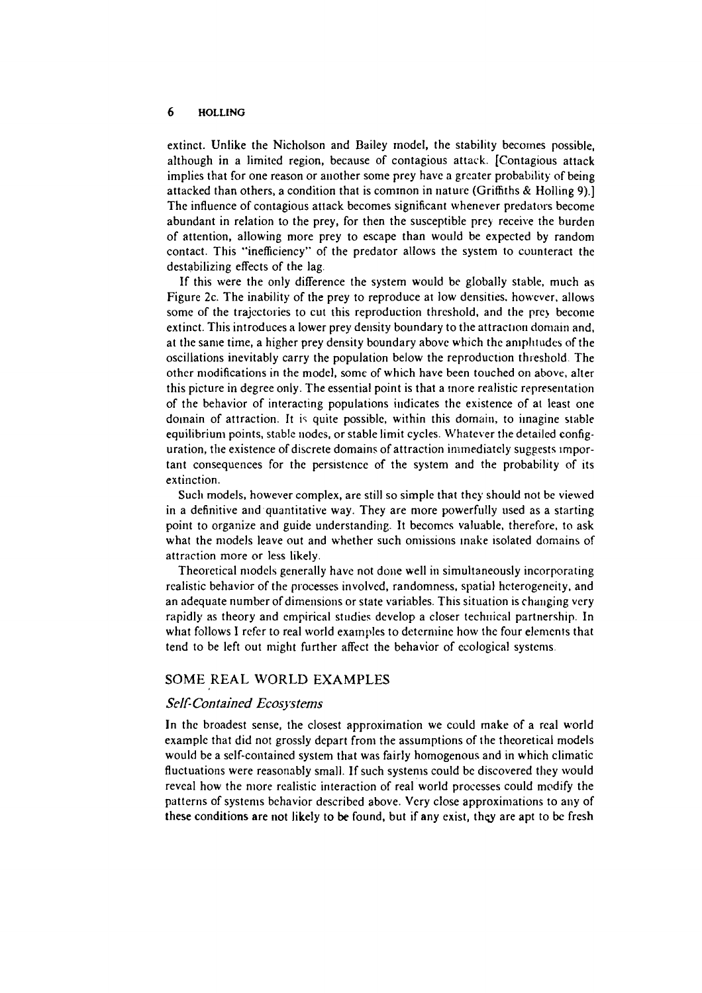extinct. Unlike the Nicholson and Bailey model, the stability becomes possible, although in a limited region, because of contagious attack. [Contagious attack implies that for one reason or another some prey have a greater probability of being attacked than others, a condition that is comrnon in nature (Griffiths & Holling **9).]**  The influence of contagious attack becomes significant whenever predators become abundant in relation to the prey, for then the susceptible prey receive the burden of attention, allowing more prey to escape than would be expected by random contact. This "inefficiency" of the predator allows the system to counteract the destabilizing effects of the lag.

If this were the only difference the system would be globally stable, much as Figure 2c. The inability of the prey to reproduce at low densities. however, allows some of the trajectories to cut this reproduction threshold, and the prey become extinct. This introduces a lower prey density boundary to the attraction domain and, at the same time, a higher prey density boundary above which the amplitudes of the oscillations inevitably carry the population below the reproduction threshold. The other modifications in the model, some of which have been touched on above, alter this picture in degree only. The essential point is that a more realistic representation of the behavior of interacting populations indicates the existence of at least one domain of attraction. It is quite possible, within this domain, to imagine stable equilibrium points, stable nodes, or stable limit cycles. Whatever the detailed configuration, the existence of discrete domains of attraction immediately suggests Important consequences for the persistence of the system and the probability of its extinction.

Such models, however complex, are still so simple that they should not be viewed in a definitive and quantitative way. They are more powerfully used as a starting point to organize and guide understanding. It becomes valuable, therefore, to ask what the models leave out and whether such onissions inake isolated domains of attraction more or less likely.

Theoretical niodels generally have not done well in simultaneously incorporating realistic behavior of the processes involved, randomness, spatial heterogeneity, and an adequate number of dimensions or state variables. This situation is changing very rapidly as theory and empirical studies develop a closer technical partnership. In what follows I refer to real world examples to determine how the four elements that tend to be left out might further affect the behavior of ecological systems.

# **SOME REAL WORLD EXAMPLES**

# **Self-Contained Ecosystems**

In the broadest sense, the closest approximation we could make of a real world example that did not grossly depart from the assumptions of the theoretical models would be a self-contained system that was fairly homogenous and in which climatic fluctuations were reasonably small. If such systems could be discovered they would reveal how the more realistic interaction of realworld processes could modify the patterns of systenis behavior described above. Very close approximations to any of these conditions are not likely to **be** found, but if any exist, the^ are apt to **be** fresh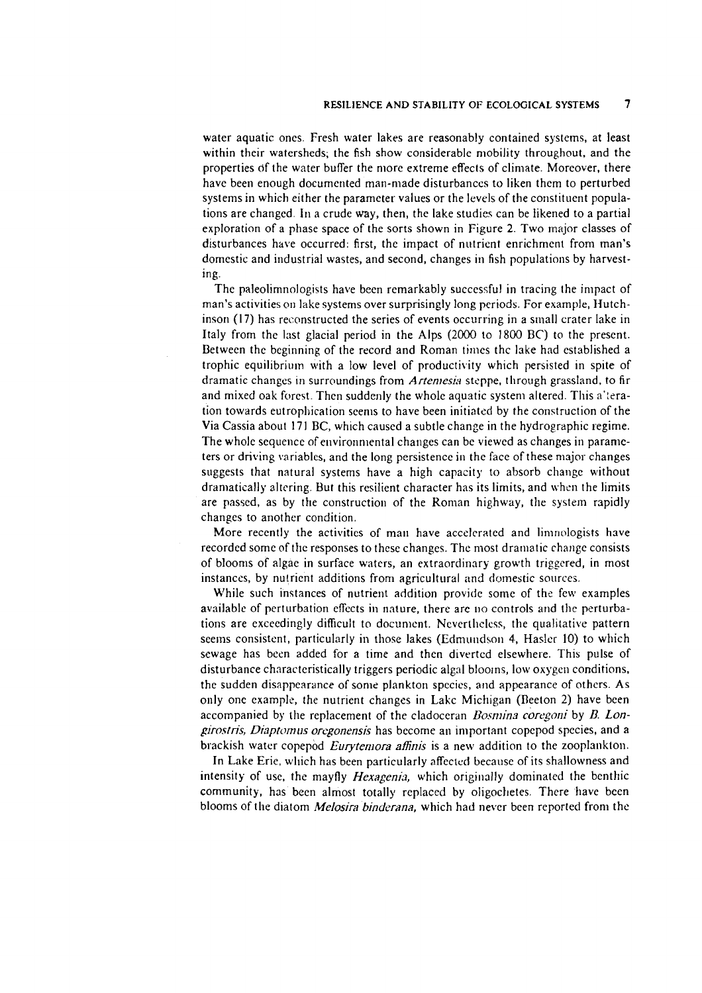water aquatic ones. Fresh water lakes are reasonably contained systems, at least within their watersheds; the fish show considerable mobility throughout, and the properties bf the water buffer the niorc extreme effects of climate. Moreover, there have been enough documented man-made disturbances to liken them to perturbed systems in which either the parameter values or the levels of the constituent populations are changed. In a crude way, then, the lake studies can be likened to a partial exploration of a phase space of the sorts shown in Figure **2.** Two major classes of disturbances have occurred: first, the impact of nutricnt enrichment from man's domestic and industrial wastes, and second, changes iri fish populations by harvesting.

The paleolimnologists have been remarkably successful in tracing the impact of man's activities on lake systems over surprisingly long periods. For example, Hutchinson (17) has reconstructed the series of events occurring in a small crater lake in Italy from the last glacial period in the Alps (2000 to 1800 BC) to the present. Between the beginning of the record and Roman times the lake had established a trophic equilibrium with a low level of productivity which persisted in spite of dramatic changes in surroundings from *Arteniesia* steppe, through grassland, to fir and mixed oak forest. Then suddenly the whole aquatic system altered. This a'teration towards eutrophication seems to have been initiated by the construction of the Via Cassia about 171 BC, which caused a subtle change in the hydrographic regime. The whole sequence of environmental changes can be viewed as changes in parameters or driving variables, and the long persistence in the face of these major changes suggests that natural systems have a high capacity to absorb change without dramatically altering. But this resilient character has its limits, and when the limits are passed, as by the construction of the Roman highway, the system rapidly changes to another condition.

More recently the activities of man have accelerated and limnologists have recorded some of the responses to these changes. The most dramatic change consists of blooms of algae in surface waters, an extraordinary growth triggered, in most instances, by nutrient additions from agricultural and domestic sources.

While such instances of nutrient addition provide some of the few examples available of perturbation effects in nature, there are no controls and the perturbations are exceedingly difficult to document. Nevertheless, the qualitative pattern seems consistent, particularly in those lakes (Edmundson 4, Hasler 10) to which sewage has been added for a time and then diverted elsewhere. This pulse of disturbance characteristically triggers periodic algal blooms, low oxygen conditions, the sudden disappearance of some plankton species, and appearance of others. As only onc example, the nutrient changes in Lakc Michigan (Beeton 2) have been accompanied by the replacement of the cladoceran *Bosmina coregoni* by *B. Longirostris, Diaptomus oregonensis* has become an important copepod species, and a brackish water copepod *Euryteniora affinis* is a new addition to the zooplankton.

In Lake Erie, which has been particularly affectcd because of its shallowness and intensity of use, the mayfly *Hexagenia,* which originally dominated the benthic community, has been almost totally replaced by oligochetes. There have bcen blooms of the diatom *Melosira binderana*, which had never been reported from the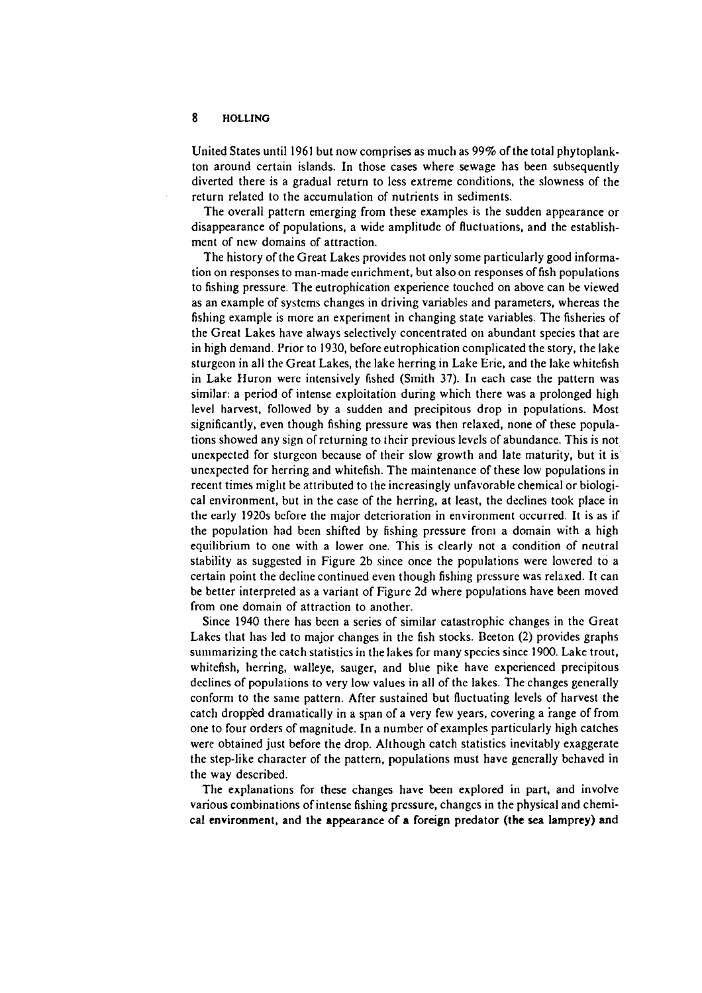United States until 1961 but now comprises as much as 99% of the total phytoplankton around certain islands. In those cases where sewage has been subsequently diverted there is a gradual return to less extreme conditions, the slowness of the return related to the accumulation of nutrients in sediments.

The overall pattern emerging from these examples is the sudden appearance or disappearance of populations, a wide amplitude of fluctuations, and the establishment of new domains of attraction.

The history of the Great Lakes provides not only some particularly good information on responses to man-made enrichment, but also on responses of fish populations to fishing pressure. The eutrophication experience touched on above can be viewed as an example of systems changes in driving variables and parameters, whereas the fishing example is more an experiment in changing state variables. The fisheries of the Great Lakes have always selectively concentrated on abundant species that are in high demand. Prior to 1930, before eutrophication complicated the story, the lake sturgeon in all the Great Lakes, the lake herring in Lake Erie, and the lake whitefish in Lake Huron were intensively fished (Smith 37). In each case the pattern was similar: a period of intense exploitation during which there was a prolonged high level harvest, followed by a sudden and precipitous drop in populations. Most significantly, even though fishing pressure was then relaxed, none of these populations showed any sign ofreturning to their previous levels of abundance. This is not unexpected for sturgcon because of their slow growth and late maturity, but it is unexpected for herring and whitefish. The maintenance of these low populations in recent times might be attributed to the increasingly unfavorable chemical or biological environment, but in the case of the herring, at least, the declines took place in the early 1920s before the major deterioration in environment occurred. It is as if the population had been shifted by fishing prcssure from a domain with a high equilibrium to one with a lower one. This is clearly not a condition of neutral stability as suggested in Figure 2b since once the populations were lowered to a certain point the decline continued even though fishing prcssure was relaxed. It can be better interpreted as a variant of Figure 2d where populations have been moved from one domain of attraction to another.

Since 1940 there has been a series of similar catastrophic changes in the Great Lakes that has led to major changes in the fish stocks. Beeton (2) provides graphs summarizing the catch statistics in the lakes for many species since 1900. Lake trout, whitefish, herring, walleye, sauger, and blue pike have experienced precipitous declines of populations to very low values in all of the lakes. The changes generally confomi to the sanie pattern. After sustained but fluctuating levels of harvest the catch dropped dramatically in a span of a very few years, covering a range of from one to four orders of magnitude. In a number of examples particularly high catches were obtained just before the drop. Although catch statistics inevitably exaggerate the step-like character of the pattern, populations must have generally behaved in the way described.

The explanations for these changes have been explored in part, and involve various combinations of intense fishing prcssure, changcs in the physical and chemical environment, and the appearance of a foreign predator (the **sea** lamprey) and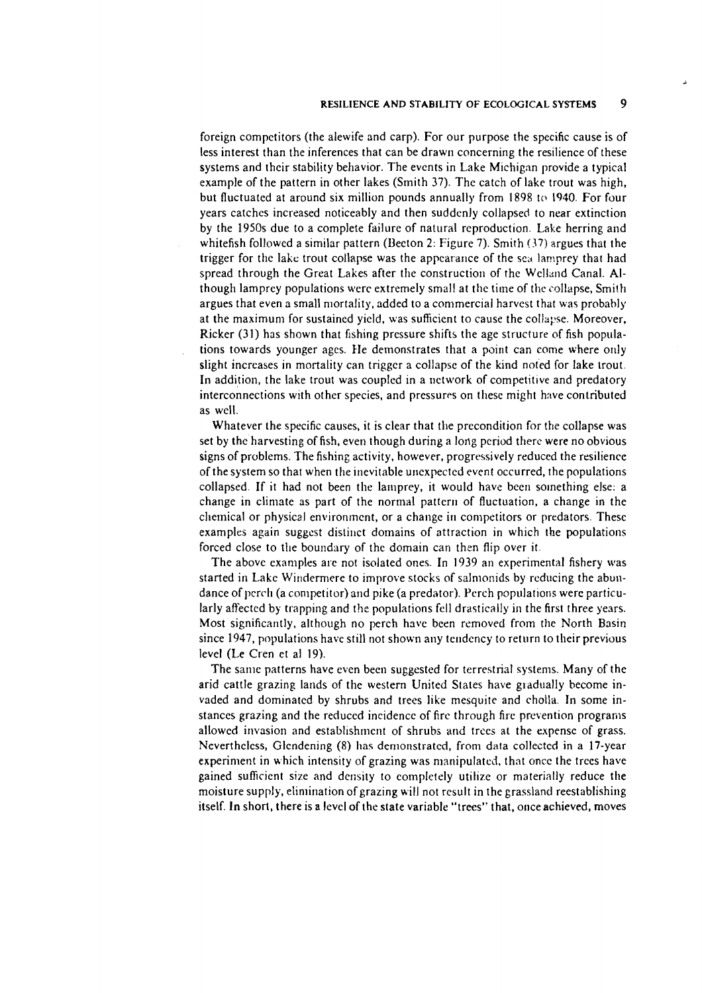foreign competitors (the alewife and carp). For our purpose the specific cause is of less interest than the inferences that can be drawn concerning the resilience of these systems and their stability behavior. The events in Lake Michigan provide a typical example of the pattern in other lakes (Smith 37). The catch of lake trout was high, but fluctuated at around six million pounds annually from 1898 to 1940. For four years catches increased noticeably and then suddenly collapsed to near extinction by the 1950s due to a complete failure of natural reproduction. Lake herring and whitefish followed a similar pattern (Beeton 2: Figure 7). Smith (37) argues that the trigger for the lake trout collapse was the appearance of the sea lamprey that had spread through the Great Lakes after the construction of the Welland Canal. Although lamprey populations were extremely small at the time of the collapse, Smith argues that even a small mortality, added to a commercial harvest that was probahly at the maximum for sustained yield, was sufficient to cause the collapse. Moreover, Ricker (31) has shown that fishing pressure shifts the age structure of fish populations towards younger ages. He demonstrates that a point can come where only slight increases in mortality can trigger a collapse of the kind nokd for lake trout. In addition, the lake trout was coupled in a network of competitive and predatory interconnections with other species, and pressures on these might have contributed as well.

Whatever the specific causes, it is clear that the precondition for the collapse was set by the harvesting of fish, even though during a long period there were no obvious signs of problems. The fishing activity, however, progressively reduced the resilience of the system so that when the inevitable unexpected event occurred, the populations collapsed. If it had not been the larnprey, it would have been something else: a change in climate as part of the normal pattern of fluctuation, a change in the clie clientical or physical environment, or a change in competitors or predators. These examples again suggest distinct domains of attraction in which the populations forced close to the boundary of the domain can then flip over it.

The above examples are not isolated ones. In 1939 an experimental fishery was started in Lake Windermere to improve stocks of salmonids by reducing the abundance of perch (a competitor) and pike (a predator). Perch populations were particularly affected by trapping and the populations fell drastically in the first three years. Most significantly, although no perch have been removed from the North Basin since 1947, populations have still not shown any tendency to return to their previous level (Le Cren et a1 19).

The same patterns have even been suggested for terrestrial systems. Many of the arid cattle grazing lands of the western United States have gradually become invaded and dominated by shrubs and trees like mesquite and cholla. In some instances grazing and the reduced incidence of firc through fire prevention programs allowed invasion and establishment of shrubs and trees at the expense of grass. Nevertheless, Glendening (8) has demonstrated, from data collected in a 17-year experiment in which intensity of grazing was manipulated, that once the trees have gained suficient size and density to completely utilize or materially reduce the moisture supply, elimination of grazing will not result in the grassland reestablishing itself. **In** short, there is a level of the state variable "trees" that, onceachieved, moves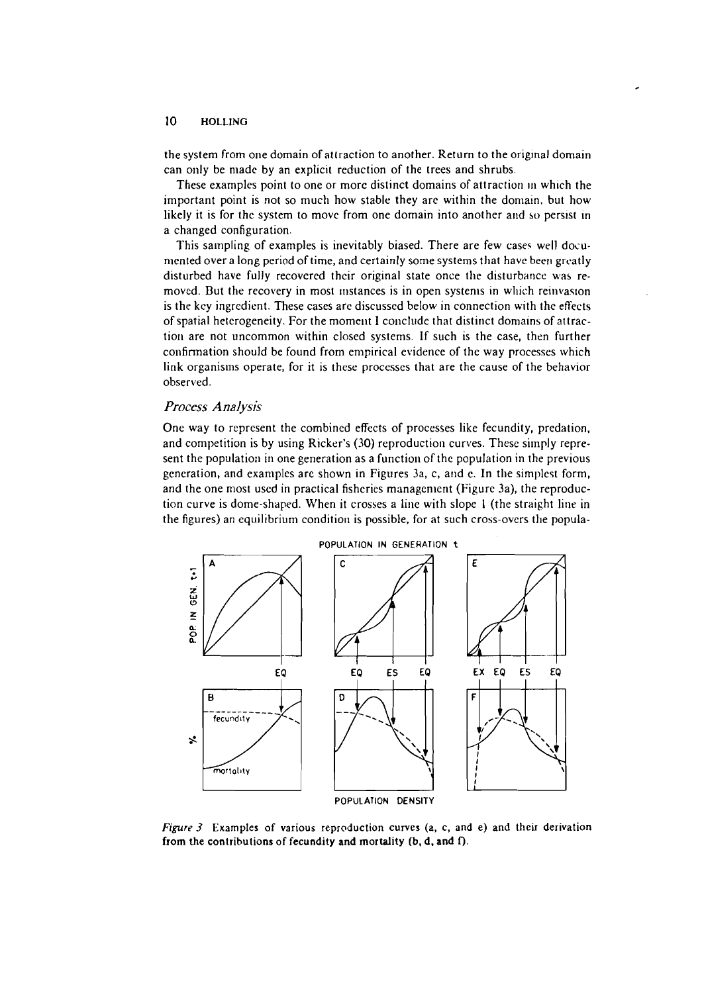the system from one domain of attraction to another. Return to the original domain can only be made by an explicit reduction of the trees and shrubs.

These examples point to one or more distinct domains of attraction in which the important point is not so much how stable they arc within the domain, but how likely it is for the system to move from one domain into another and so persist in a changed configuration.

This sampling of examples is inevitably biased. There are few cases well docuniented over a long period of time, and certainly some systems that have been greatly disturbed have fully recovcrcd their original state once the disturbance was removed. But the recovery in most instances is in open systems in which reinvasion is the key ingredient. These cases are discussed below in connection with the effects of spatial heterogeneity. For the momelit 1 conclude that distinct domains of attraction are not uncommon within closed systems. If such is the case, then further confirmation should be found from empirical evidence of the way processes which link organisms operate, for it is these processes that are the cause of the behavior observed.

# *Process Analysis*

One way to reprcsent the combined effects of processes like fecundity, predation. and competition is by using Ricker's (30) reproduction curves. These simply represent the population in one generation as a function of the population in the previous generation, and examples arc shown in Figures 3a, c, and e. In the simplest form, and the one most used in practical fisheries management (Figure 3a), the reproduction curve is dome-shaped. When it crosses a line with slope 1 (the straight line in the figures) an equilibrium condition is possible, for at such cross-overs the popula-



Figure *3* Examples of various reproduction curves (a, c, and e) and their derivation from the contributions of fecundity and mortality **(b, d.** and **0.**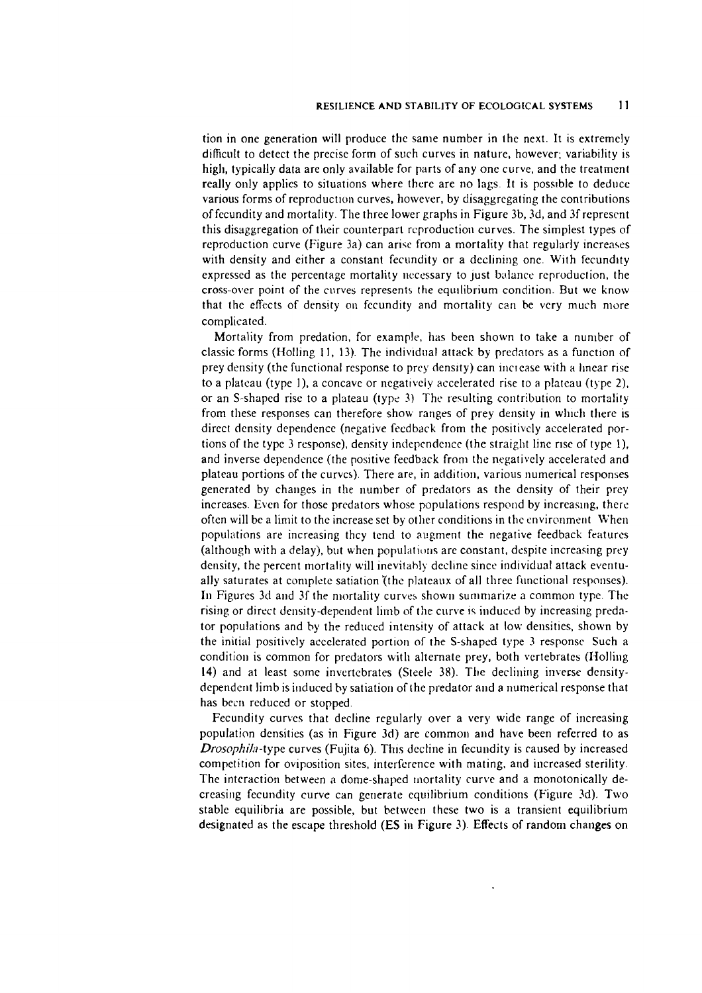tion in one generation will produce the same number in the next. It is extremely difficult to detect the precise form of such curves in nature, however; variability is high, typically data are only available for parts of any one curve, and the treatment really only applies to situations where there are no lags. It is possible to deduce various forms of reproduction curves, however, by disaggregating the contributions of fecundity and mortality. The three lower graphs in Figure 3b, 3d, and 3f rcprescnt this disaggregation of their counterpart reproduction curves. The simplest types of reproduction curve (Figure 3a) can arise from a mortality that regularly increases with density and either a constant fecundity or a declining one. With fecundity expressed as the percentage mortality necessary to just balance reproduction, the cross-over point of the curves represents the equilibrium condition. But we know that the effects of density on fecundity and mortality can be very much more complicated.

Mortality from predation, for example, has been shown to take a number of classic forms (Holling 11, 13). The individual attack by predators as a function of prey density (the functional response to prey density) can increase with a linear rise to a plateau (type 1), a concave or negatively accelerated rise to a plateau (type 2). or an S-shaped rise to a plateau (type 3) Thc resulting contribution to mortality from these responses can therefore show ranges of prey density in which there is direct density dependence (negative feedback from the positively accelerated portions of the type 3 response), density independence (the straight line rise of type 1). and inverse dependence (the positive feedback from the negatively accelerated and plateau portions of the curves). There are, in addition, various numerical responses generated by changes in the number of predators as the density of their prey increases. Even for those predators whose populations respond by increasing, there often will be a limit to the increase set by other conditions in the environment. When populntions are increasing thcy tend to augment the negative feedback features (although with a delay), but when populations are constant, despite increasing prey density, the percent mortality will inevitably decline since individual attack eventually saturates at complete satiation (the plateaux of all three functional responses). In Figures 3d and 3f the mortality curves shown summarize a common type. The rising or direct density-dependent limb of the curve is induced by increasing predator populations and by the reduced intensity of attack at low densities, shown by the initial positively accelerated portion of the S-shaped type 3 response. Such a condition is common for predators with alternate prey, both vertebrates (Holling 14) and at least some invertebrates (Steele 38). The declining inverse densitydependent limb is induced by satiation of the predator and a numerical response that has been reduced or stopped.

Fecundity curves that decline regularly over a very wide range of increasing population densities (as in Figure 3d) are common and have been referred to as Drosophila-type curves (Fujita 6). This decline in fecundity is caused by increased competition for oviposition sites, intcrfercnce with mating, and increased sterility. The interaction between a dome-shaped mortality curve and a monotonically decreasing fecundity curve can generate equilibrium conditions (Figure 3d). Two stable equilibria are possible, but between these two is a transient equilibrium designated as the escape threshold (ES in Figure 3). Effects of random changes on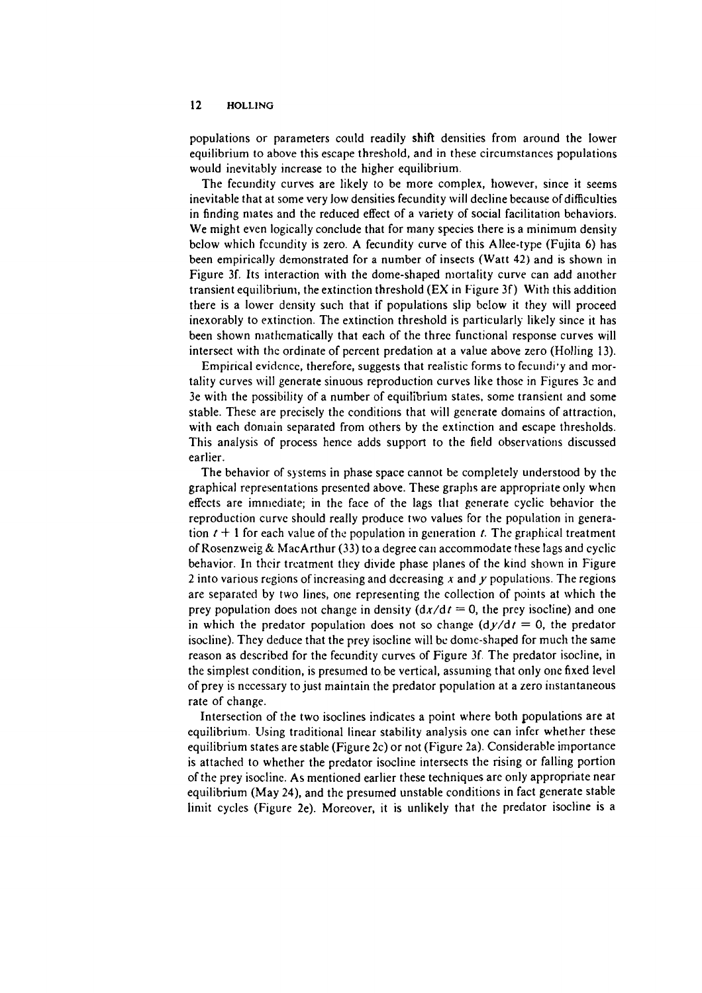populations or parameters could readily shift densities from around the lower equilibrium to above this escape threshold, and in these circumstances populations would inevitably increase to the higher equilibrium.

The fecundity curves are likely to be more complex, however, since it seems inevitable that at some very low densities fecundity will decline because of difficulties in finding mates and the reduced effect of a variety of social facilitation behaviors. We might even logically conclude that for many species there is a minimum density bclow which fccundity is zero. A fecundity curve of this Allee-type (Fujita 6) has been empirically demonstrated for a number of insects (Watt 42) and is shown in Figure 3f. Its interaction with the dome-shaped mortality curve can add another transient equilibrium, the extinction threshold (EX in Figure 3f) With this addition there is a lower density such that if populations slip bclow it they will proceed inexorably to extinction. The extinction threshold is particularly likely since it has been shown mathematically that each of the three functional response curves will intersect with thc ordinate of percent predation at a value above zero (Holling 13).

Empirical evidence, therefore, suggests that realistic forms to fecundi'y and mortality curves will generate sinuous reproduction curves like those in Figures 3c and 3e with the possibility of a number of equilibrium states, some transient and some stable. These are precisely the conditions that will generate domains of attraction, with each domain separated from others by the extinction and escape thresholds. This analysis of process hence adds support to the field observations discussed earlier.

The behavior of systems in phase space cannot be completely understood by the graphical representations presented above. These graphs are appropriate only when effects are immediate; in the face of the lags that generate cyclic behavior the reproduction curve should really produce two values for the population in generation  $t + 1$  for each value of the population in generation r. The graphical treatment of Rosenzweig & MacArthur (33) to a degree can accommodate these lags and cyclic behavior. In thcir treatment they divide phase planes of the kind shown in Figure 2 into various regions of increasing and decreasing **x** and y populations. The regions are separated by two lines, one representing the collection of points at which the prey population does not change in density  $\frac{dx}{dt} = 0$ , the prey isocline) and one in which the predator population does not so change  $\frac{dy}{dt} = 0$ , the predator isocline). They deduce that the prey isocline will be dome-shaped for much the same reason as described for the fecundity curves of Figure **3f.** The predator isocline, in the simplest condition, is presumed to be vertical, assuming that only one fixed level of prey is necessary to just maintain the predator population at a zero instantaneous rate of change.

Intersection of the two isoclines indicates a point where both populations are at equilibrium. Using traditional linear stability analysis one can infer whether these equilibrium states are stable (Figure 2c) or not (Figure 2a). Considerable importance is attached to whether the predator isocline intersects the rising or falling portion of the prey isocline. As mentioned earlier these techniques are only appropriate near equilibrium (May 24), and the presumed unstable conditions in fact generate stable limit cycles (Figure 2e). Moreover, it is unlikely that the predator isocline is a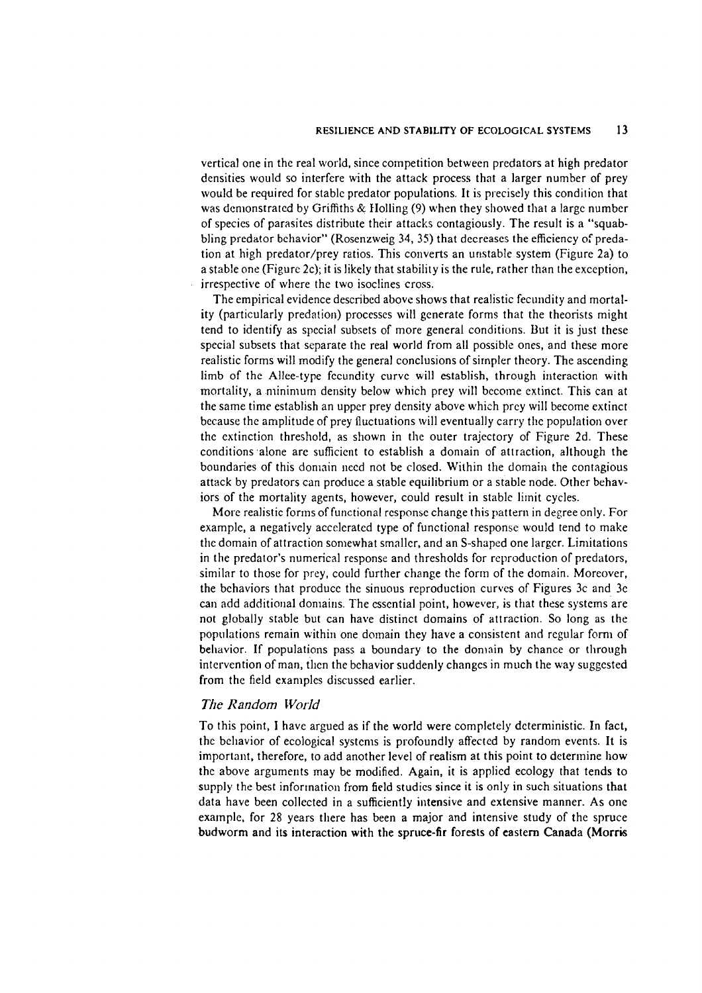vertical one in the real world, since cornpetition between predators at high predator densities would so interfere with the attack process that a larger number of prey would be required for stable predator populations. It is precisely this condition that was demonstrated by Griffiths & Holling (9) when they showed that a large number of species of parasites distribute their attacks contagiously. The result is a "squabbling predator bchavior" (Rosenzweig 34, 35) that decreases the efficiency of predation at high predator/prey ratios. This converts an unstable system (Figure 2a) to a stable one (Figure 2c); it is likely that stability is the rule, rather than the exception, irrespective of where the two isoclines cross.

The empirical evidence described abovc shows that realistic fecundity and mortality (particularly predation) processes will generate forms that the theorists might tend to identify as spccial subsets of more general conditions. But it is just these special subsets that separate the real world from all possible ones, and these more realistic forms will modify the general conclusions of simpler theory. The ascending limb of the Allee-type fecundity curve will establish, through interaction with mortality, a minimum density below which prey will become extinct. This can at the same time establish an upper prey density above which prey will become extinct because the amplitude of prey fluctuations will eventually carry the population over thc cstinction threshold, as shown in the outer trajectory of Figure 2d. These conditions alone are sufficient to establish a domain of attraction, although the boundaries of this donlain necd not be closed. Within the domain the contagious attack by predators can produce a stable equilibrium or a stable node. Other behaviors of the mortality agents, however, could result in stable lirnit cycles.

More realistic forms of functional response change this pattern in degree only. For examplc, a negatively accclcrated type of functional response would tend to make the domain of attraction somewhat smaller, and an S-shaped one larger. Limitations in the predator's numerical response and thresholds for reproduction of predators, similar to those for prey, could further change the form of the domain. Moreover, the bchaviors that producc the sinuous reproduction curves of Figures 3c and 3c can add additional domains. The essential point, however, is that these systems are not globally stable but can have distinct domains of attraction. So long as the populations remain within one domain they have a consistent and regular fomm of behavior. If populations pass a boundary to the domain by chance or through intervention of man, then the behavior suddenly changes in much the way suggested from the field examplcs discussed earlier.

### *The Random World*

To this point, I have argued as if the world were completely deterministic. In fact, the bellavior of ecological systcrns is profoundly affected by random events. It is important, therefore, to add another level of realism at this point to determine how the above arguments may be modified. Again, it is applicd ecology that tends to supply the best information from field studies since it is only in such situations that data have been collected in a sufficiently intensive and extensive manner. As one example, for 28 years there has been a major and intensive study of the spruce budworm and its interaction with the spruce-fir forests of eastern Canada **(Morris**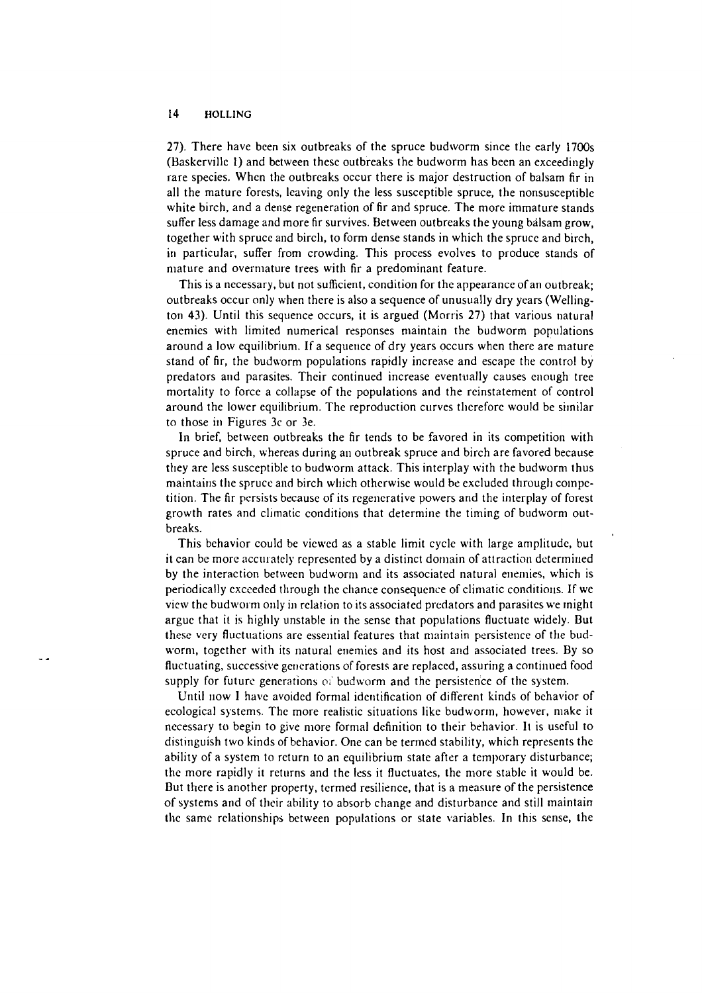27). There have been six outbreaks of the spruce budworm since the early 1700s (Baskerville I) and between these outbreaks the budworrn has been an exceedingly rare species. When the outbreaks occur there is major destruction of balsam fir in all the mature forests, leaving only the less susceptible spruce, the nonsusceptiblc white birch, and a dense regeneration of fir and spruce. The more immature stands suffer less damage and more fir survives. Between outbreaks the young balsam grow, together with spruce and birch, to form dense stands in which the spruce and birch, in particular, suffer from crowding. This process evolves to produce stands of mature and overmature trees with fir a predominant feature.

This is a necessary, but not sufficient, condition for the appearance of an outbreak; outbreaks occur only when there is also a sequence of unusually dry years (Wellington 43). Until this sequence occurs, it is argued (Morris 27) that various natural enemies with limited numerical responses maintain the budworm populations around a low equilibrium. If a sequence of dry years occurs when there are mature stand of fir, the budnorm populations rapidly increase and escape the control by predators and parasites. Their continued increase eventually causes enough tree mortality to force a collapse of the populations and the reinstatement of control around the lower equilibrium. The reproduction curves tllerefore would be sirnilar to those in Figures 3c or 3e.

In brief, between outbreaks the fir tends to be favored in its competition with spruce and birch, whereas during an outbreak spruce and birch are favored because they are less susceptible to budworni attack. This interplay with the budworm thus maintains the spruce and birch which otherwise would be excluded through competition. The fir persists because of its regenerative powers and the interplay of forest growth rates and climatic conditions that determine the timing of budworm outbreaks.

This behavior could be viewed as a stable limit cycle with large amplitude, but it can be more accurately represented by a distinct domain of attraction determined by the interaction between budworm and its associated natural enemies, which is periodically exceeded through the chance consequence of climatic conditions. If we view the budworm only in relation to its associated predators and parasites we might argue that it is highly unstable in the sense that populations fluctuate widely. But these very fluctuations are essential features that maintain persistence of the budworm, together with its natural enemies and its host and associated trees. By so fluctuating, successive generations of forests are replaced, assuring a continued food supply for future generations of budworm and the persistence of the system.

Until now I have avoided formal identification of different kinds of behavior of ecological systems. The more realistic situations like budworm, however, make it necessary to begin to give more formal definition to their behavior. It is useful to distinguish two kinds of behavior. One can be terrned stability, which represents the ability of a system to return to an equilibrium state after a temporary disturbance; the more rapidly it returns and the less it fluctuates, the more stable it would be. But there is another property, termed resilience, that is a measure of the persistence of systems and of their ability to absorb change and disturbance and still maintain the same relationships between populations or state variables. In this sense, the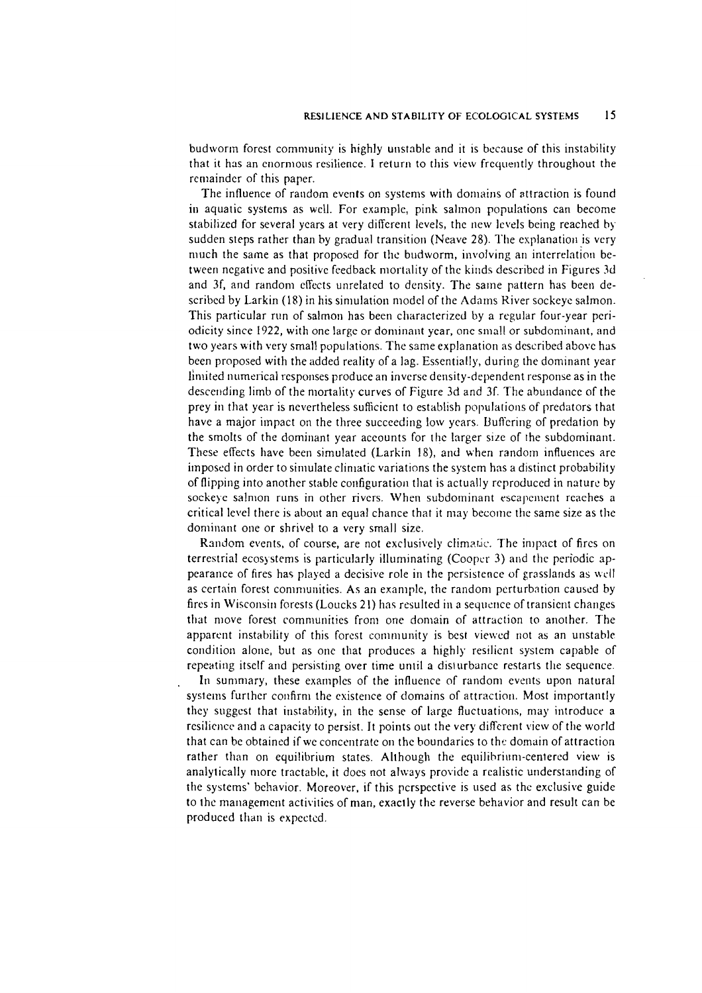budworm forest community is highly unstable and it is because of this instability that it has an enormous resilience. I return to this view frequently throughout the remainder of this paper.

The influence of random events on systems with domains of attraction is found in aquatic systems as well. For example, pink salmon populations can become stabilized for several years at very different levels, the new levels being reached by sudden steps rather than by gradual transition (Neave 28). The explanation is very much the same as that proposed for the budworm, involving an interrelation between negative and positive feedback mortality of the kinds described in Figures 3d and 3f, and random effects unrelated to density. The same pattern has been described by Larkin (18) in his simulation model of the Adams River sockeye salmon. This particular run of salmon has been characterized by a regular four-year pcriodicity since 1922, with one large or dominant year, one small or subdominant, and two years with very small populations. The same explanation as described above has been proposed with the added reality of a lag. Essentially, during the dominant year liniited numerical responses produce an inverse density-dependent response as in the descending limb of the mortality curves of Figure 3d and 3f. The abundance of the prey in that year is nevertheless sufficient to establish populations of predators that have a major impact on the three succeeding low years. Buffering of predation by the smolts of the dominant year accounts for the larger sire of the subdominant. These effects have been simulated (Larkin IS), and when random influences arc imposed in order to simulate climatic variations the system has a distinct probability of flipping into another stable configuration that is actually reproduced in nature by soekeye salmon runs in other rivers. When subdominant escapement reaches a critical level there is about an equal chance that it may become the same size as the dominant one or shrivel to a very small size.

Random events, of course, are not exclusively climatic. The inipact of fires on terrestrial ecosjstems is particularly illuminating (Coopcr 3) and the periodic appearance of fires has played a decisive role in the persistence of grasslands as well as certain forcst conimunities. **As** an example, the random pcrturbstion caused by fires in Wisconsin forests (Loucks 21) has resulted in a sequence of transient changes that move forest communities from one domain of attraction to another. The apparent instability of this forest community is best viewed not as an unstable condition alone, but as one that produces a highly resilient system capable of repeating itself and persisting over time until a dislurbancc restarts the sequence.

In summary, these examples of the influence of random events upon natural systems further confirm the existence of domains of attraction. Most importantly they suggest that instability, in the sense of large fluctuations, may introduce a resilience and a capacity to persist. It points out the very different view of the world that can be obtained if we concentrate on the boundaries to thc domain of attraction rather than on equilibrium states. Although the equilibrium-centered view is analytically more tractable, it docs not always provide a realistic understanding of the systems' behavior. Moreover, if this perspective is used as the exclusive guide to the management activities of man, exactly the reverse behavior and result can be produced than is expcctcd.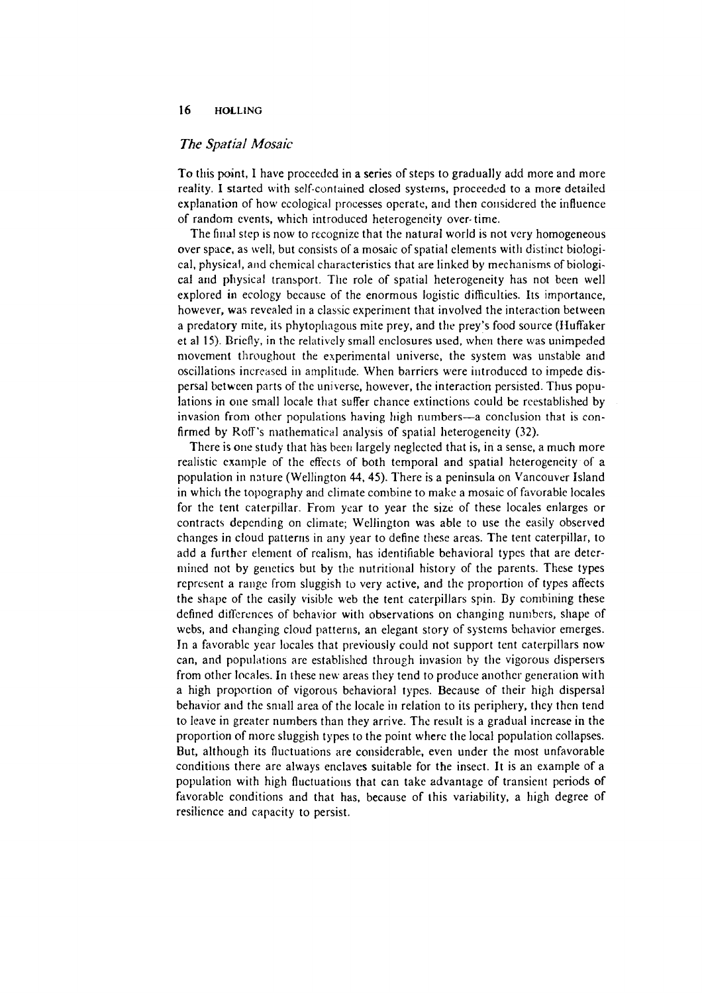# *The Spatial Mosaic*

To this point, 1 have proceeded in a series of steps to gradually add more and more reality. I started with self-contained closed systems, proceeded to a more detailed explanation of how ecological processes operate, and then considered the influence of random events, which introduced heterogeneity over- time.

The final step is now to recognize that the natural world is not very homogeneous over space, as well, but consists of a mosaic of spatial elements with distinct biological, physical, and chemical characteristics that are linked by mechanisms of biological and physical transport. The role of spatial heterogeneity has not been well explored in ecology because of the enormous logistic difficulties. Its importance, however, was revealed in a classic experiment that involved the interaction between a predatory mite, its phytopliagous mite prey, and the prey's food source (Huffaker et al 15). Briefly, in the relatively small enclosures used, when there was unimpeded movement throughout the experimental universe, the system was unstable and oscillations increased in amplitude. When barriers were introduced to impede dispersal between parts of the universe, however, the interaction persisted. Thus populations in one small locale that suffer chance extinctions could be reestablished by invasion from other populations having high numbers-a conclusion that is confirmed by Roff's niathematical analysis of spatial heterogeneity **(32).** 

There is one study that has been largely neglected that is, in a sense, a much more realistic example of the effects of both temporal and spatial heterogeneity of a population in nature (Wellington **44,** 45). There is a peninsula on Vancouver Island in which the topography and climate combine to make a mosaic of favorable locales for the tent caterpillar. From year to year the size of these locales enlarges or contracts depending on climate; Wellington was able to use the easily observed changes in cloud patterns in any year to define these areas. The tent caterpillar, to add a further element of realism, has identifiable behavioral types that are deter mined not by genetics but by the nutritional history of the parents. These types represent a range from sluggish to very active, and the proportion of types affects the shape of the easily visible web the tent caterpillars spin. By combining these defined differences of behavior with observations on changing numbers, shape of webs, and changing cloud patterns, an elegant story of systems behavior emerges. Jn a favorable year locales that previously could not support tent caterpillars now can, and populations are established through invasion by the vigorous dispersers from other locales. In these new areas they tend to produce another generation with a high proportion of vigorous behavioral types. Because of their high dispersal behavior and the small area of the locale in relation to its periphery, they then tend to leave in greater numbers than they arrive. The result is a gradual increase in the proportion of more sluggish types to the point wherc the local population collapses. But, although its fluctuations are considerable, even under the most unfavorable conditions there are always enclaves suitable for the insect. It is an example of a population with high fluctuations that can take advantage of transient periods of favorable conditions and that has, because of this variability, a high degree of resilience and capacity to persist.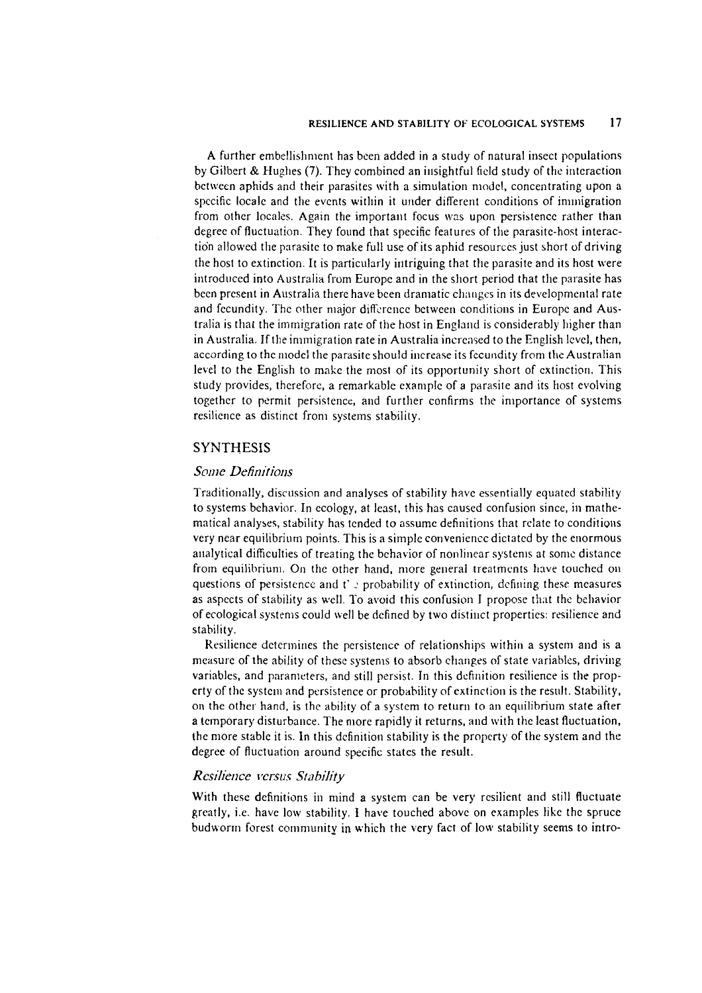### **RESILIENCE AND STABILITY OF ECOLOGICAL SYSTEMS 17**

A further embellishment has been added in a study of natural insect populations by Gilbert & Hughes  $(7)$ . They combined an insightful field study of the interaction between aphids and their parasites with a simulation model, concentrating upon a specific locale and the evcnts within it under diferent conditions of immigration from other locales. Again the important focus was upon persistence rather than degree of fluctuation. They found that specific features of the parasite-host interaction allowed the parasite to make full use of its aphid resources just short of driving the host to extinction. It is particularly intriguing that the parasite and its host were introduced into Australia from Europe and in the short period that the parasite has been present in Australia there have been dramatic changes in its developmental rate and fecundity. The other major difference between conditions in Europe and Australia is that the immigration rate of the host in England is considerably higher than in Australia. If the immigration rate in Australia increased to the English lcvcl, then, according to the model the parasitc should increase its fecundity from the Australian level to the English to make the most of its opportunity short of extinction. This study provides, therefore, a remarkable example of a parasite and its host evolving together to permit persistence, and further confirms the importance of systems resilience as distinct from systems stability.

# **SYNTHESIS**

### **Some Definitions**

Traditionally, discussion and analyscs of stability have essentially equated stability to systems behavior. In ecology, at least, this has caused confusion since, in mathematical analyses, stability has tended to assume definitions that relate to conditions very near equilibrium points. This is a simple convenience dictated by the enormous analytical difficulties of treating the behavior of nonlinear systems at some distance from equilibrium. On the other hand, more general treatments have touched on questions of persistence and t' *2* probability of extinction, defining these measures as aspects of stability as well. To avoid this confusion I propose that the behavior of ecological systems could well be dcfined by two distinct propertics: resilience and stability.

Resilience determines the persistence of relationships within a system and is a measure of the ability of these systems to absorb changes of state variables, driving variables, and pnranleters, and still persist. In this definition resilience is the propcrty of the system and persistence or probability of extinction is the result. Stability, on the other hand, is the ability of a system to return to an equilibrium state after a temporary disturbance. The more rapidly it returns, and with the least fluctuation, the more stable it is. In this dcfinition stability is the propcrty of the system and the degree of fluctuation around specific states the result.

# $Resilience~versus~Stability$

With these definitions in mind a system can be very resilient and still fluctuate greatly, i.e. have low stability. **1** have touched abovc on cxaniples like the spruce budworm forest community in which the very fact of low stability seems to intro-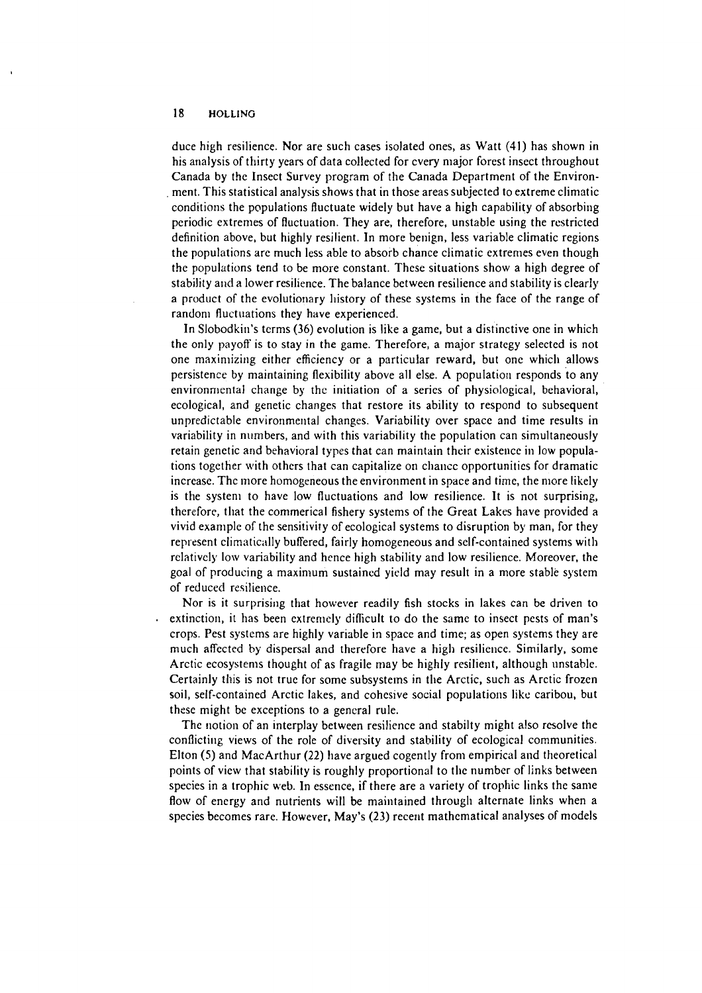duce high resilience. Nor are such cases isolated ones, as Watt (41) has shown in his analysis of thirty year; of data collected for cvery major forest insect throughout Canada by the Insect Survey program of the Canada Department of the Environ- , ment. This statistical analysis shows that in those areas subjected to extreme climatic conditions the populations fluctuate widely but have a high capability of absorbing periodic extremes of fluctuation. They are, therefore, unstable using the restricted definition above, but highly resilient. In more benign, less variable climatic regions the populations are much less able to absorb chance climatic extremes even though the populations tend to be more constant. These situations show a high degree of stability and a lower resilience. The balance between resilience and stability is clearly a product of the evolutionary history of these systems in the face of the range of random fluctuations they have experienced.

In Slobodkin's terms  $(36)$  evolution is like a game, but a distinctive one in which the only payoff is to stay in the game. Therefore, a major strategy selected is not one maximizing either efficiency or a particular reward, but one which allows persistence by maintaining flexibility above all else. A population responds to any environmental change by the initiation of a series of physiological, behavioral, ecological, and genetic changes that restore its ability to respond to subsequent unpredictable environmental changes. Variability over space and time results in variability in numbers, and with this variability the population can simultaneously retain genetic and behavioral types that can maintain their existence in low populations together with others that can capitalize on chance opportunities for dramatic increase. The more homogeneous the environment in space and time, the more likely is the systeni to have low fluctuations and low resilience. It is not surprising, therefore, that the commerical fishery systems of the Great Lakes have provided a vivid exaniple of the sensitivity of ecological systems to disruption by man, for they represent climatically buffered, fairly homogeneous and self-contained systems with relatively low variability and hence high stability and low resilience. Moreover, the goal of producing a maximum sustained yield may result in a more stable system of reduced resilience.

Nor is it surprising that however readily fish stocks in lakes can be driven to extinction, it has been extremely difficult to do the same to insect pests of man's crops. Pest systems are highly variable in space and time; as open systems they are much affected by dispersal and therefore have a high resilience. Similarly, some Arctic ecosystems thought of as fragile may be highly resilient, although unstable. Certainly this is not true for some subsystems in the Arctic, such as Arctic frozen soil, self-contained Arctic lakes, and cohesive social populations like caribou, but these might be exceptions to a general rule.

The notion of an interplay between resilience and stabilty might also resolve the conflicting views of the role of diversity and stability of ecological communities. Elton (5) and MacArthur (22) have argued cogently from empirical and theoretical points of view that stability is roughly proportional to the number of links between species in a trophic web. In essence, if there are a variety of trophic links the same flow of energy and nutrients will be maintained through alternate links when a species becomes rare. However, May's (23) recent mathematical analyses of models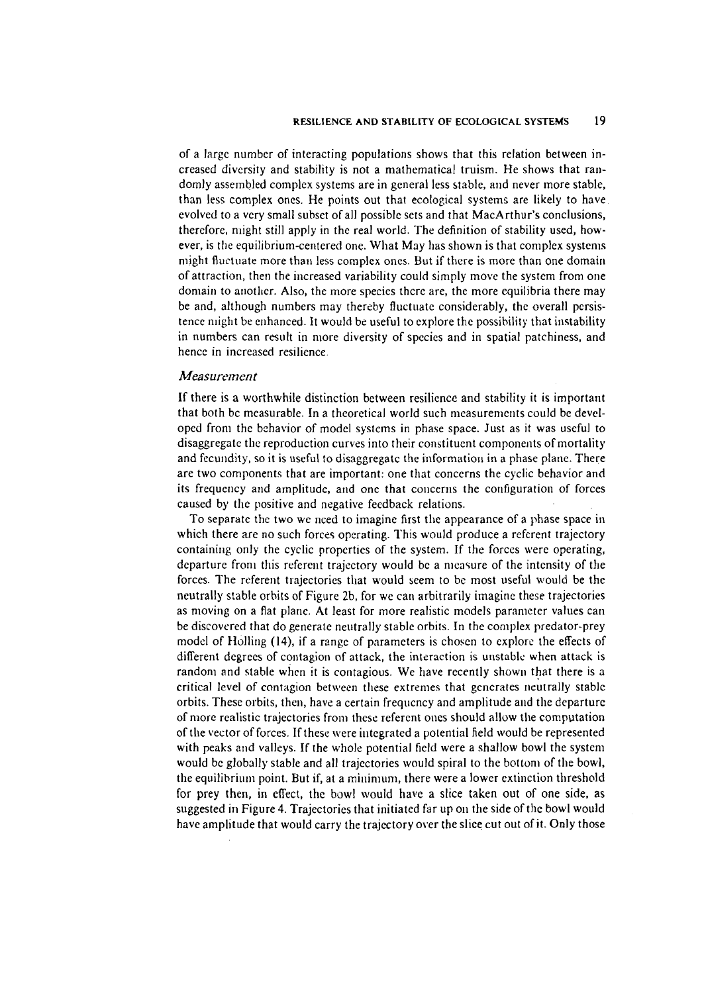of a large number of interacting populations shows that this relation between increased diversity and stability is not a mathematical truism. He shows that randomly assembled complex systems are in general less stable, and never more stable, than less complex ones. He points out that ecological systems are likely to have evolved to a very small suhset of all possible sets and that MacArthur's conclusions, therefore, might still apply in the real world. The definition of stability used, however, is the equilibrium-centered one. What May has shown is that complex systems might fluctuate more than less complex ones. But if there is more than one domain of attraction, then the increased variability could simply move the system from one domain to another. Also, the more species there are, the more equilibria there may be and, although numbers may thereby fluctuate considerably, the overall persistence might be enhanced. It would be useful to explore the possibility that instability in numbers can result in more diversity of species and in spatial patchiness, and hence in increased resilience.

#### Measurement

If there is a worthwhile distinction between resilience and stability it is important that both bc measurable. In a theoretical world such measurements could be developed from the behavior of model systcms in phase space. Just as it was useful to disaggregate tllc reproduction curves into their constituent components of mortality and fecundity, so it is useful to disaggregatc the information in a phase plane. There are two components that are important: one that concerns the cyclic behavior and its frequency and amplitude, and one that concerns the configuration of forces caused by the positive and negative feedback relations.

To separate the two we need to imagine first thc appearance of a phase space in which there are no such forces operating. This would produce a referent trajectory containing only the cyclic properties of the system. If the forces were operating, departure from this referent trajectory would be a measure of the intensity of the forces. The referent trajectories that would seem to be most useful would be the neutrally stable orbits of Figure 2b, for we can arbitrarily imagine these trajectories as moving on a flat plane. At least for more realistic models parameter values can be discovered that do generate neutrally stable orbits. In the complex predator-prey model of flolling (14), if a range of parameters is chosen to cxplorc the effects of different degrees of contagion of attack, the interaction is unstable when attack is random and stable when it is contagious. We have recently shown that there is a critical level of contagion between these extremes that generates neutrally stable orbits. These orbits, then, have a certain frequency and amplitude and the departure of more realistic trajectories from these referent ones should allow the computation of the vector of forces. If these were integrated a potential field would be represented with peaks and valleys. If the whole potential field were a shallow bowl the system would be globally stable and all trajectories would spiral to the bottom of the bowl, the equilibrium point. But if, at a minimum, there were a lower extinction threshold for prey then, in effect, the bowl would have a slice taken out of one side, as suggested in Figure 4. Trajectories that initiated far up on the side of the bowl would have amplitude that would carry the trajectory over the slice cut out of it. Only those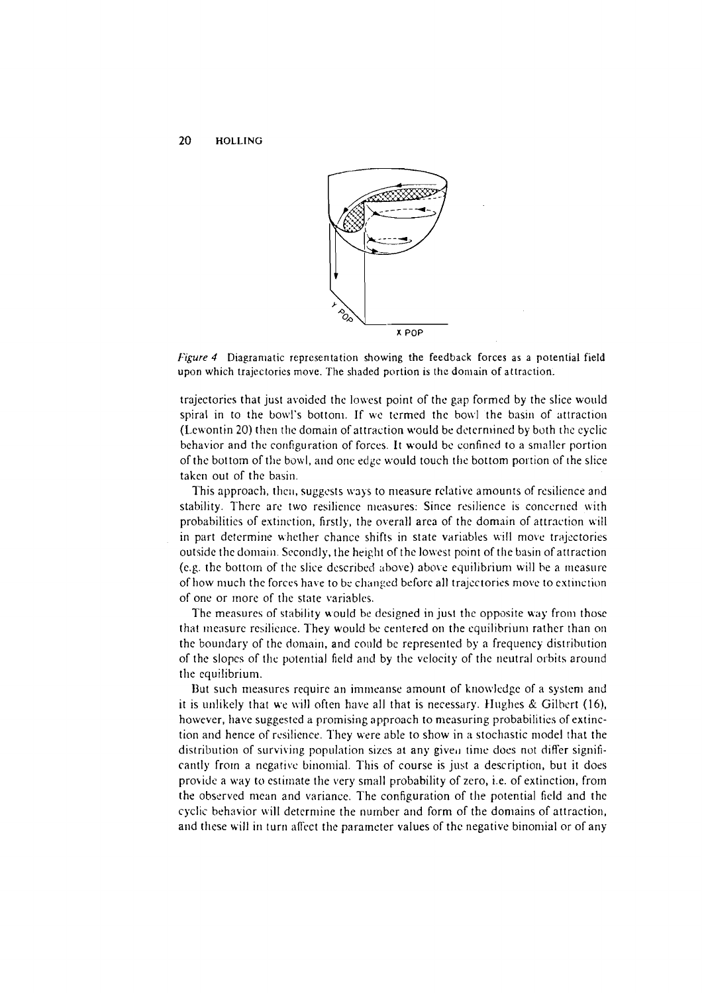

*Figure 4* Diagramatic representation showing the feedback forces as a potential field upon which trajectories move. The shaded portion is thc doniain of attraction.

trajectories that just avoided the lowest point of the gap formed by the slice would spiral in to the bowl's bottom. If we termed the bowl the basin of attraction (Leuontin 20) tlien tile domain of attraction would be determined by both the cyclic behavior and the configuration of forces. It would be confined to a smaller portion of the bottom of the bowl, and one edge would touch the bottom portion of the slice taken out of the basin.

This approach, then, suggests ways to measure relative amounts of resilience and stability. There are two resilience measures: Since resilience is concerned with probabilities of extinction, firstly, the overall area of the domain of attraction will in part determine whether chance shifts in state variables will move trajectories outside the domain. Secondly, the height of the lowest point of the basin of attraction (e.g. the bottom of the slice described above) above equilibrium will be a measure of how much the forces have to br changed before all trajsctorles move to extinction of one or rnorc of the state variables.

The measures of stability would be designed in just the opposite way from those that measure resilience. They would be centered on the equilibrium rather than on the boundary of the domain, and could be represented by a frequency distribution of the slopes of the potential field and by the velocity of the neutral orbits around the equilibrium.

But such measures require an immeanse amount of knowledge of a system and it is unlikely that we will often have all that is necessary. Hughes & Gilbert (16), however, have suggested a promising approach to measuring probabilities of extinction and hence ofrcsilicnce. They were able to show in a stochastic model that the distribution of surviving population sizes at any given time does not differ significantly from a negative binoniial. This of course is just a description, but it does provide a way to estimate the very small probability of zero, i.e. of extinction, from the observed mean and variance. The configuration of the potential field and the cyclic behavior will determine the number and form of the domains of attraction, and these will in turn affect the parameter values of the negative binomial or of any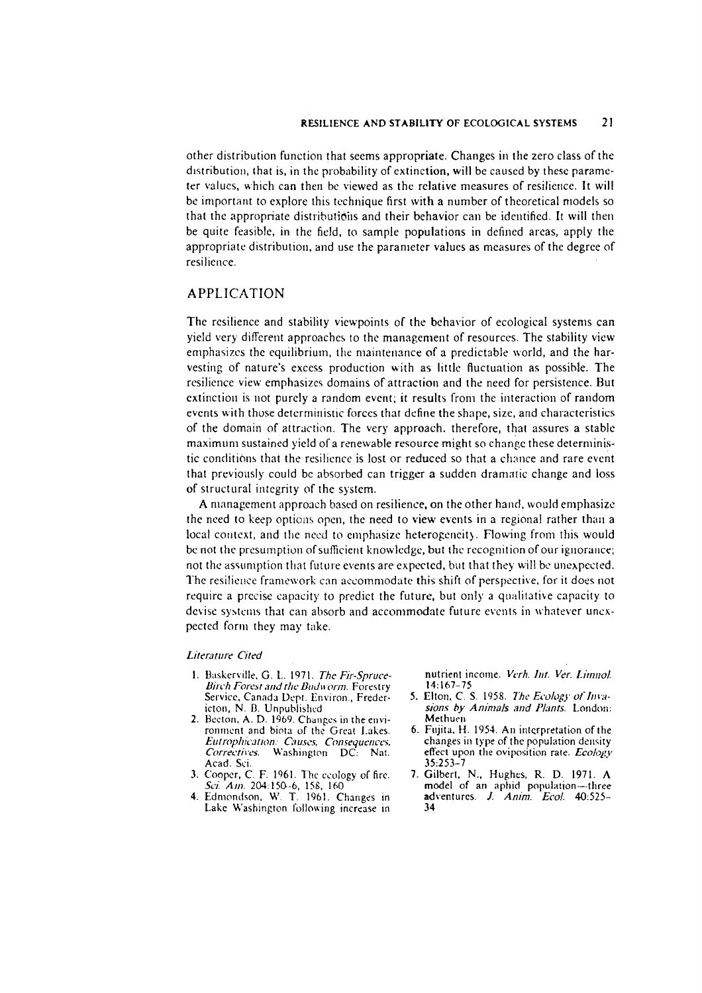other distribution function that seems appropriate. Changes in the zero class of the distribution, that is, in the probability of extinction, will be caused by these parameter values, which can then be viewed as the relative measures of resilience. It will be important to explore this technique first with a number of theoretical models so that the appropriate distributions and their behavior can be identified. It will then be quite feasible, in the field, to sample populations in defined areas, apply the appropriate distribution, and use the parameter values as measures of the degree of resilience.

# APPLICATION

The resilience and stability viewpoints of the behavior of ecological systems can yield very different approaches to the management of resources. The stability view emphasizes the equilibrium, the maintenance of a predictable world, and the harvesting of nature's excess production with as little fluctuation as possible. The resilience view emphasizes domains of attraction and the need for persistence. But extinction is not purely a random event; it results from the interaction of random events with those deterministic forces that define the shape, size, and characteristics of the domain of attraction. The very approach. therefore, that assures a stable maximum sustained yield of a renewable resource might so change these deterministic conditions that the resilience is lost or reduced so that a chance and rare event that previously could be absorbed can trigger a sudden dramatic change and loss of structural integrity of the system.

**A** management approach based on resilience, on the other hand, would emphasizc. the need to keep options open, the need to view events in a regional rather than a local context, and the need to emphasize heterogeneity. Flowing from this would be not the presumption of sufficient knowledge, but the recognition of our ignorance; not the assumption that future events are expected, but that they will be unexpected. The resilience framework can accommodate this shift of perspective, for it does not require a precise capacity to predict the future, but only a qualitative capacity to devise systems that can absorb and accommodate future events in whatever unexpected form they may take.

#### **Literature Cited**

- 1. Baskerville, G. L. 1971. *The Fir-Spruce-*<br>*Birch Forest and the Budworm*. Forestry Service, Canada Dept. Environ., Fredericton, N. **D.** Unpuhlislrcd
- 2. Becton, A. D. 1969. Changes in the environment and biota of the Great Lakes. Eutrophication: Causes, Consequences, Correctives. Washington DC: Nat. Acad. Sci.
- **3. Cooper, C. F. 1961. The ecology of fire.** Sci. Am. 204:150-6, 158, 160
- **4.** Edniondson, **H'.** T. 1961. Changes in Lake Washington following increase in

nutrient income. Verh. Int. Ver. Linnol. 14:167-75

- 5. Elton, C. S. 1958. The Ecology of Inva**sions by Animals and Plants. London:** Methuen
- 6. Fujita, H. 1954. An interpretation of the changes in type of the population density effect upon the oviposition rate. *Ecology* 35:253-7
- 7. Gilbert, N.. Hughcs. R. D. 1971. **A**  adventures. *J. Anim. Ecol.* 40:525-**34**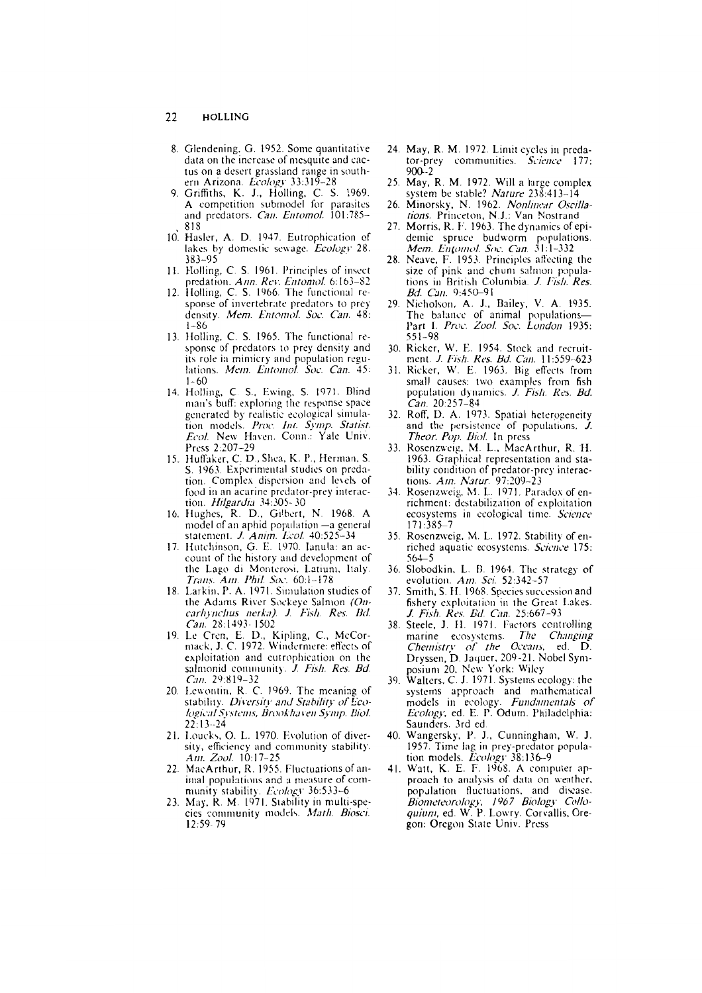- 8. Glendening, G. 1952. Some quantitative data on the increase of mesquite and cactus on a desert grassland range in southern Arizona. Ecology 33:319-28
- 9. Griffiths, K. J., Holling, C. S. 1969.<br>A competition submodel for parasites and predators. Can. Entomol. 101:785-818
- 10. Hasler, A. D. 1947. Eutrophication of lakes by domestic sewage. Ecology 28: 383-95
- 11. Holling, C. S. 1961. Principles of insect predation. Ann. Rev. Entomol. 6:163-82
- 12. Holling, C. S. 1966. The functional response of invertebrate predators to prey density. Mem. Entomol. Soc. Can. 48:  $1 - 86$
- 13. Holling, C. S. 1965. The functional response of predators to prey density and its role in mimicry and population regulations. Mem. Entomol. Soc. Can. 45:  $1 - 60$
- 14. Holling, C. S., Ewing, S. 1971. Blind man's buff: exploring the response space generated by realistic ecological simulation models. Proc. Int. Symp. Statist. Ecol. New Haven, Conn.: Yale Univ. Press 2:207-29
- 15. Huffaker, C. D., Shea, K. P., Herman, S. S. 1963. Experimental studies on predation. Complex dispersion and levels of food in an acarine predator-prey interaction. Hilgardia 34:305-30
- 16. Hughes, R. D., Gilbert, N. 1968. A model of an aphid population -a general statement. J. Anim. Ecol. 40:525-34
- 17. Hutchinson, G. E. 1970. Ianula: an account of the history and development of the Lago di Monterosi, Latium, Italy Trans. Am. Phil. Soc. 60:1-178
- 18. Larkin, P. A. 1971. Simulation studies of the Adams River Sockeye Salmon (Oncarhynchus nerka). J. Fish. Res. Bd. Can. 28:1493 1502
- 19. Le Cren, E. D., Kipling, C., McCornack, J. C. 1972. Windermere: effects of exploitation and eutrophication on the salmonid community. J. Fish. Res. Bd.  $Can. 29:819-32$
- 20. Lewontin, R. C. 1969. The meaning of stability. Diversity and Stability of Eco-<br>logical Systems, Brookhaven Symp. Biol.  $22:13-24$
- 21. Loucks, O. L. 1970. Evolution of diversity, efficiency and community stability. Am. Zool. 10:17-25
- 22. MacArthur, R. 1955. Fluctuations of animal populations and a measure of community stability. Ecology 36:533-6
- 23. May, R. M. 1971. Stability in multi-species community models. Math. Biosci. 12:59-79
- 24. May, R. M. 1972. Limit cycles in predator-prey communities. Science 177.  $900 - 2$
- 25. May, R. M. 1972. Will a large complex system be stable? Nature 238:413-14
- 26. Minorsky, N. 1962. Nonlinear Oscillations. Princeton, N.J.: Van Nostrand
- 27. Morris, R. F. 1963. The dynamics of epidemic spruce budworm populations. Mem. Entomol. Soc. Can. 31:1-332
- 28. Neave, F. 1953. Principles affecting the size of pink and chum salmon populations in British Columbia. J. Fish. Res. Bd. Can. 9:450-91
- 29. Nicholson, A. J., Bailey, V. A. 1935. The balance of animal populations—<br>Part I. Proc. Zool. Soc. London 1935: 551-98
- 30. Ricker, W. E. 1954. Stock and recruitment. J. Fish. Res. Bd. Can. 11:559--623
- Ricker, W. E. 1963. Big effects from small causes: two examples from fish population dynamics. J. Fish. Res. Bd. Can. 20:257-84<br>32. Roff, D. A. 1973. Spatial heterogeneity
- and the persistence of populations. J. Theor. Pop. Biol. In press
- Rosenzweig, M. L., MacArthur, R. H. 33. 1963. Graphical representation and stability condition of predator-prey interactions. Am. Natur. 97:209-23
- 34. Rosenzweig, M. L. 1971. Paradox of enrichment: destabilization of exploitation ecosystems in ecological time. Science  $171:385 - 7$
- 35. Rosenzweig, M. L. 1972. Stability of enriched aquatic ecosystems. Science 175:  $564 - 5$
- 36. Slobodkin, L. B. 1964. The strategy of evolution. Am. Sci. 52:342-57
- 37. Smith, S. H. 1968. Species succession and fishery exploitation in the Great Lakes. J. Fish. Res. Bd. Can. 25:667-93
- 38. Steele, J. H. 1971. Factors controlling Succession Changing<br>
Chemistry of the Oceans, ed. D.<br>
Dryssen, D. Jaquer, 209-21. Nobel Symposium 20, New York: Wiley<br>39. Walters, C. J. 1971. Systems ecology: the
- systems approach and mathematical models in ecology. Fundamentals of<br>Ecology, ed. E. P. Odum. Philadelphia: Saunders. 3rd ed.
- 40. Wangersky, P. J., Cunningham, W. J. 1957. Time lag in prey-predator population models. Ecology 38:136-9
- 41. Watt, K. E. F. 1968. A computer approach to analysis of data on weather, population fluctuations, and disease. Biometeorology, 1967 Biology Collo-<br>quium, ed. W. P. Lowry. Corvallis, Oregon: Oregon State Univ. Press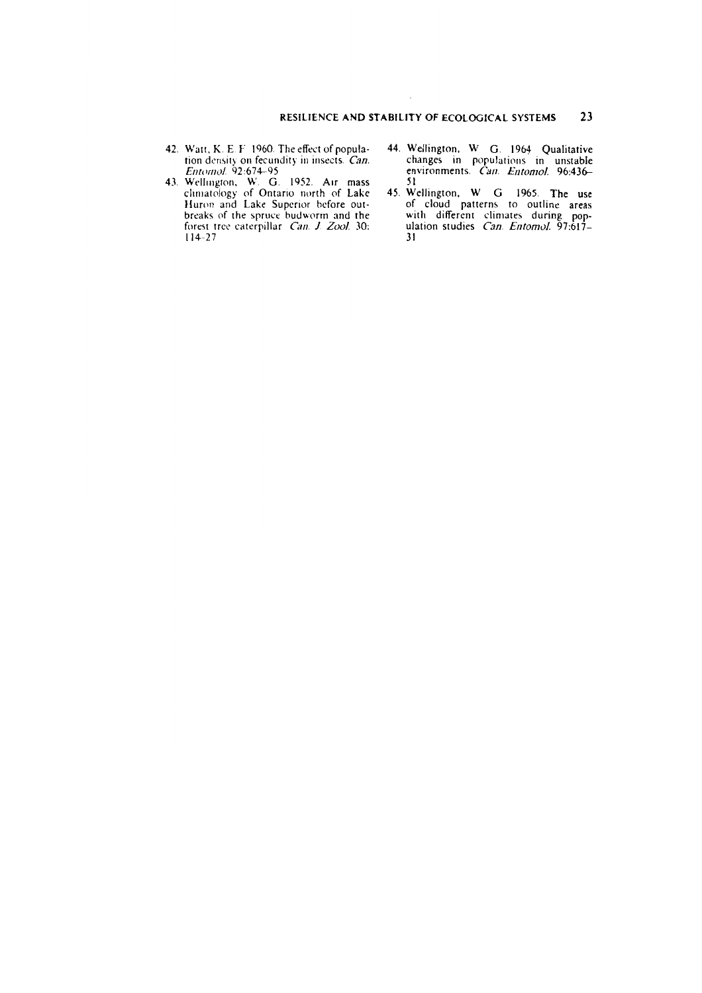- 
- 42. Watt, K. E. F 1960. The effect of population density on fecundity in insects. *Can.*<br>*Entomol.* 92:674-95<br>43. Wellington, W. G. 1952. Air mass<br>chinatology of Ontario north of Lake<br>Huron and Lake Superior before out-<br>b  $114 - 27$
- 
- 44. Wellington, W. G. 1964 Qualitative<br>changes in populations in unstable<br>environments. Can. Entomol. 96:436-<br>51<br>45. Wellington, W. G. 1965. The use<br>of cloud patterns to outline areas<br>with different climates during pop-<br>u  $\overline{31}$